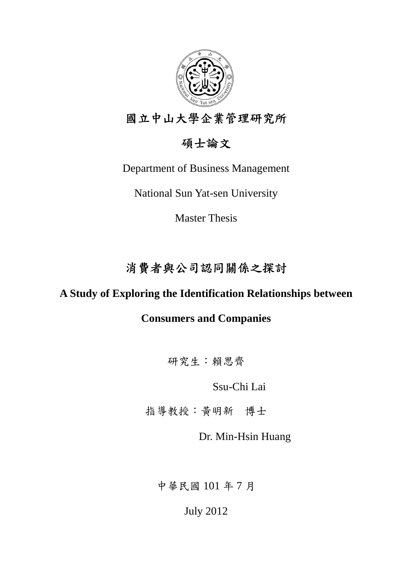

## 國立中山大學企業管理研究所

## 碩士論文

Department of Business Management

National Sun Yat-sen University

Master Thesis

# 消費者與公司認同關係之探討

## **A Study of Exploring the Identification Relationships between**

## **Consumers and Companies**

研究生:賴思齊

Ssu-Chi Lai

指導教授:黃明新 博士

Dr. Min-Hsin Huang

中華民國 101 年 7 月

July 2012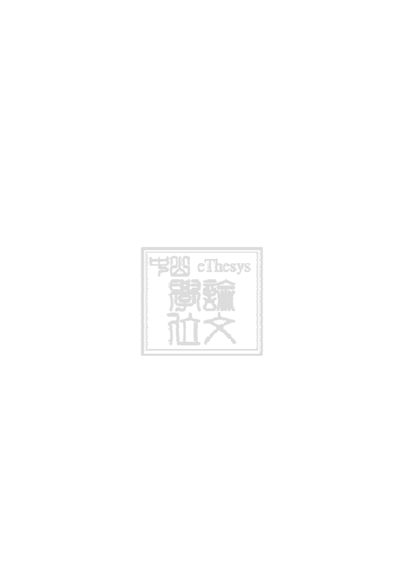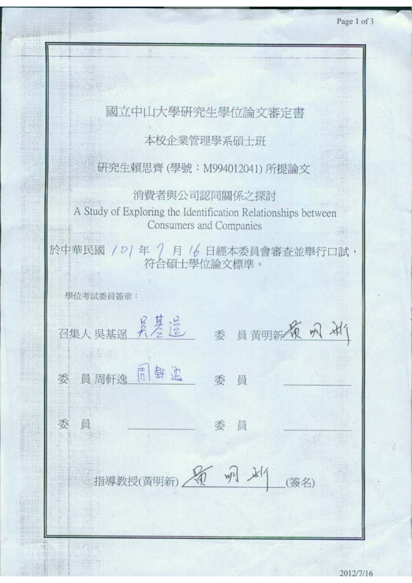ü, 國立中山大學研究生學位論文審定書 本校企業管理學系碩十班 研究生賴思齊 (學號: M994012041) 所提論文 消費者與公司認同關係之探討 A Study of Exploring the Identification Relationships between Consumers and Companies 於中華民國 / D | 年 / 月 / 6日經本委員會審查並舉行口試, 符合碩士學位論文標準。 學位考試委員簽章: 召集人吳基逞 关茎造 委員黄明新领 风 一起 尾尾 同电面 委 員周軒逸 委員 委 昌 委員  $w^{r}$ 指導教授(黃明新) (答名)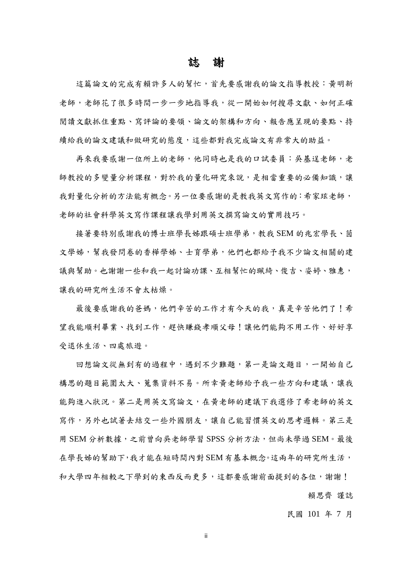## 誌謝

這篇論文的完成有賴許多人的幫忙,首先要感謝我的論文指導教授:黃明新 老師,老師花了很多時間一步一步地指導我,從一開始如何搜尋文獻、如何正確 閱讀文獻抓住重點、寫評論的要領、論文的架構和方向、報告應呈現的要點、持 續給我的論文建議和做研究的態度,這些都對我完成論文有非常大的助益。

 再來我要感謝一位所上的老師,他同時也是我的口試委員:吳基逞老師,老 師教授的多變量分析課程,對於我的量化研究來說,是相當重要的必備知識,讓 我對量化分析的方法能有概念。另一位要感謝的是教我英文寫作的:希家玹老師, 老師的社會科學英文寫作課程讓我學到用英文撰寫論文的實用技巧。

 接著要特別感謝我的博士班學長姊跟碩士班學弟,教我 SEM 的兆宏學長、茵 文學姊,幫我發問卷的香樺學姊、士育學弟,他們也都給予我不少論文相關的建 議與幫助。也謝謝一些和我一起討論功課、互相幫忙的珮綺、俊吉、姿婷、雅惠, 讓我的研究所生活不會太枯燥。

最後要感謝我的爸媽,他們辛苦的工作才有今天的我,直是辛苦他們了!希 望我能順利畢業、找到工作,趕快賺錢孝順父母!讓他們能夠不用工作、好好享 受退休生活、四處旅遊。

回想論文從無到有的過程中,遇到不少難題,第一是論文題目,一開始自己 構思的題目範圍太大、蒐集資料不易。所幸黃老師給予我一些方向和建議,讓我 能夠進入狀況。第二是用英文寫論文,在黃老師的建議下我選修了希老師的英文 寫作,另外也試著去結交一些外國朋友,讓自己能習慣英文的思考邏輯。第三是 用 SEM 分析數據,之前曾向吳老師學習 SPSS 分析方法,但尚未學過 SEM。最後 在學長姊的幫助下,我才能在短時間內對 SEM 有基本概念。這兩年的研究所生活, 和大學四年相較之下學到的東西反而更多,這都要感謝前面提到的各位,謝謝! 賴思齊 謹誌

民國 101 年 7 月

ii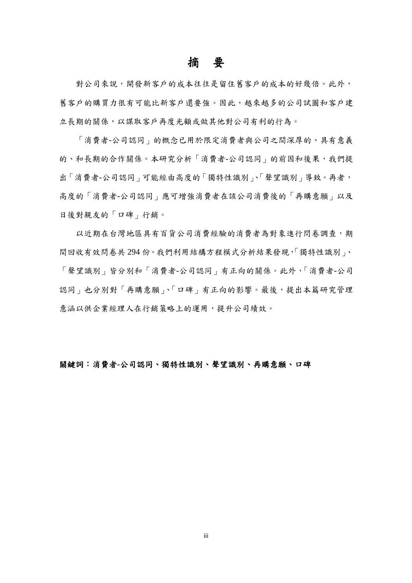## 摘要

對公司來說,開發新客戶的成本往往是留住舊客戶的成本的好幾倍。此外, 舊客戶的購買力很有可能比新客戶還要強。因此,越來越多的公司試圖和客戶建 立長期的關係,以謀取客戶再度光顧或做其他對公司有利的行為。

「消費者-公司認同」的概念已用於限定消費者與公司之間深厚的、具有意義 的、和長期的合作關係。本研究分析「消費者-公司認同」的前因和後果,我們提 出「消費者-公司認同」可能經由高度的「獨特性識別」、「聲望識別」導致。再者, 高度的「消費者-公司認同」應可增強消費者在該公司消費後的「再購意願」以及 日後對親友的「口碑」行銷。

以近期在台灣地區具有百貨公司消費經驗的消費者為對象進行問卷調查,期 間回收有效問卷共 294 份。我們利用結構方程模式分析結果發現,「獨特性識別」、 「聲望識別」皆分別和「消費者-公司認同」有正向的關係。此外,「消費者-公司 認同」也分別對「再購意願」、「口碑」有正向的影響。最後,提出本篇研究管理 意涵以供企業經理人在行銷策略上的運用,提升公司績效。

#### 關鍵詞:消費者**-**公司認同、獨特性識別、聲望識別、再購意願、口碑

iii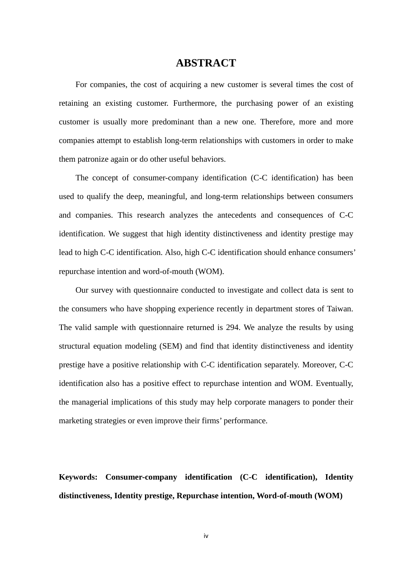### **ABSTRACT**

For companies, the cost of acquiring a new customer is several times the cost of retaining an existing customer. Furthermore, the purchasing power of an existing customer is usually more predominant than a new one. Therefore, more and more companies attempt to establish long-term relationships with customers in order to make them patronize again or do other useful behaviors.

The concept of consumer-company identification (C-C identification) has been used to qualify the deep, meaningful, and long-term relationships between consumers and companies. This research analyzes the antecedents and consequences of C-C identification. We suggest that high identity distinctiveness and identity prestige may lead to high C-C identification. Also, high C-C identification should enhance consumers' repurchase intention and word-of-mouth (WOM).

Our survey with questionnaire conducted to investigate and collect data is sent to the consumers who have shopping experience recently in department stores of Taiwan. The valid sample with questionnaire returned is 294. We analyze the results by using structural equation modeling (SEM) and find that identity distinctiveness and identity prestige have a positive relationship with C-C identification separately. Moreover, C-C identification also has a positive effect to repurchase intention and WOM. Eventually, the managerial implications of this study may help corporate managers to ponder their marketing strategies or even improve their firms' performance.

**Keywords: Consumer-company identification (C-C identification), Identity distinctiveness, Identity prestige, Repurchase intention, Word-of-mouth (WOM)**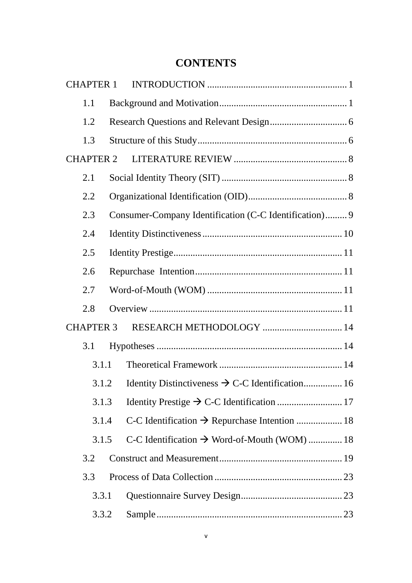## **CONTENTS**

| <b>CHAPTER 1</b> |                                                              |
|------------------|--------------------------------------------------------------|
| 1.1              |                                                              |
| 1.2              |                                                              |
| 1.3              |                                                              |
| <b>CHAPTER 2</b> |                                                              |
| 2.1              |                                                              |
| 2.2              |                                                              |
| 2.3              | Consumer-Company Identification (C-C Identification) 9       |
| 2.4              |                                                              |
| 2.5              |                                                              |
| 2.6              |                                                              |
| 2.7              |                                                              |
| 2.8              |                                                              |
| <b>CHAPTER 3</b> |                                                              |
| 3.1              |                                                              |
| 3.1.1            |                                                              |
| 3.1.2            | Identity Distinctiveness $\rightarrow$ C-C Identification 16 |
| 3.1.3            |                                                              |
| 3.1.4            | C-C Identification $\rightarrow$ Repurchase Intention  18    |
| 3.1.5            | C-C Identification $\rightarrow$ Word-of-Mouth (WOM)  18     |
| 3.2              |                                                              |
| 3.3              |                                                              |
| 3.3.1            |                                                              |
| 3.3.2            |                                                              |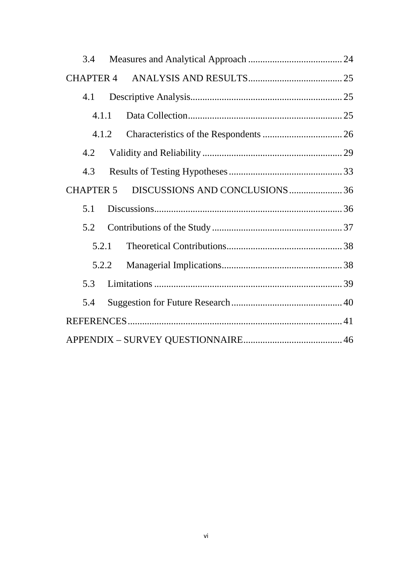|  | 3.4              |       |  |  |
|--|------------------|-------|--|--|
|  |                  |       |  |  |
|  | 4.1              |       |  |  |
|  |                  | 4.1.1 |  |  |
|  |                  | 4.1.2 |  |  |
|  | 4.2              |       |  |  |
|  | 4.3              |       |  |  |
|  | <b>CHAPTER 5</b> |       |  |  |
|  | 5.1              |       |  |  |
|  | 5.2              |       |  |  |
|  |                  | 5.2.1 |  |  |
|  |                  | 5.2.2 |  |  |
|  | 5.3              |       |  |  |
|  | 5.4              |       |  |  |
|  |                  |       |  |  |
|  |                  |       |  |  |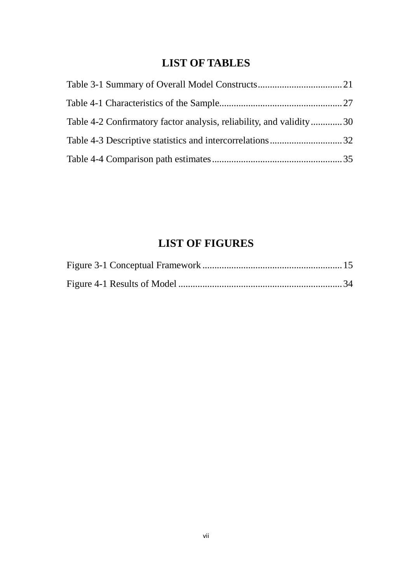## **LIST OF TABLES**

| Table 4-2 Confirmatory factor analysis, reliability, and validity30 |  |
|---------------------------------------------------------------------|--|
|                                                                     |  |
|                                                                     |  |

## **LIST OF FIGURES**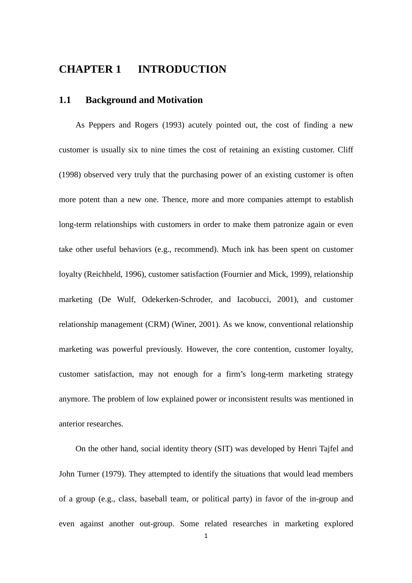## **CHAPTER 1 INTRODUCTION**

#### **1.1 Background and Motivation**

 As Peppers and Rogers (1993) acutely pointed out, the cost of finding a new customer is usually six to nine times the cost of retaining an existing customer. Cliff (1998) observed very truly that the purchasing power of an existing customer is often more potent than a new one. Thence, more and more companies attempt to establish long-term relationships with customers in order to make them patronize again or even take other useful behaviors (e.g., recommend). Much ink has been spent on customer loyalty (Reichheld, 1996), customer satisfaction (Fournier and Mick, 1999), relationship marketing (De Wulf, Odekerken-Schroder, and Iacobucci, 2001), and customer relationship management (CRM) (Winer, 2001). As we know, conventional relationship marketing was powerful previously. However, the core contention, customer loyalty, customer satisfaction, may not enough for a firm's long-term marketing strategy anymore. The problem of low explained power or inconsistent results was mentioned in anterior researches.

On the other hand, social identity theory (SIT) was developed by Henri Tajfel and John Turner (1979). They attempted to identify the situations that would lead members of a group (e.g., class, baseball team, or political party) in favor of the in-group and even against another out-group. Some related researches in marketing explored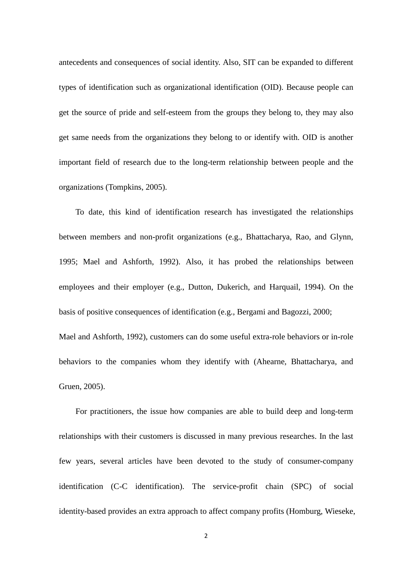antecedents and consequences of social identity. Also, SIT can be expanded to different types of identification such as organizational identification (OID). Because people can get the source of pride and self-esteem from the groups they belong to, they may also get same needs from the organizations they belong to or identify with. OID is another important field of research due to the long-term relationship between people and the organizations (Tompkins, 2005).

 To date, this kind of identification research has investigated the relationships between members and non-profit organizations (e.g., Bhattacharya, Rao, and Glynn, 1995; Mael and Ashforth, 1992). Also, it has probed the relationships between employees and their employer (e.g., Dutton, Dukerich, and Harquail, 1994). On the basis of positive consequences of identification (e.g., Bergami and Bagozzi, 2000;

Mael and Ashforth, 1992), customers can do some useful extra-role behaviors or in-role behaviors to the companies whom they identify with (Ahearne, Bhattacharya, and Gruen, 2005).

For practitioners, the issue how companies are able to build deep and long-term relationships with their customers is discussed in many previous researches. In the last few years, several articles have been devoted to the study of consumer-company identification (C-C identification). The service-profit chain (SPC) of social identity-based provides an extra approach to affect company profits (Homburg, Wieseke,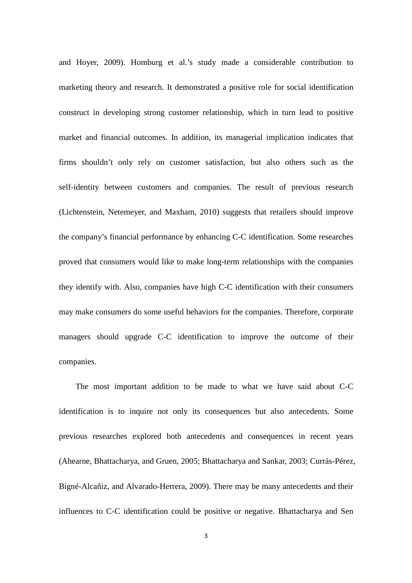and Hoyer, 2009). Homburg et al.'s study made a considerable contribution to marketing theory and research. It demonstrated a positive role for social identification construct in developing strong customer relationship, which in turn lead to positive market and financial outcomes. In addition, its managerial implication indicates that firms shouldn't only rely on customer satisfaction, but also others such as the self-identity between customers and companies. The result of previous research (Lichtenstein, Netemeyer, and Maxham, 2010) suggests that retailers should improve the company's financial performance by enhancing C-C identification. Some researches proved that consumers would like to make long-term relationships with the companies they identify with. Also, companies have high C-C identification with their consumers may make consumers do some useful behaviors for the companies. Therefore, corporate managers should upgrade C-C identification to improve the outcome of their companies.

The most important addition to be made to what we have said about C-C identification is to inquire not only its consequences but also antecedents. Some previous researches explored both antecedents and consequences in recent years (Ahearne, Bhattacharya, and Gruen, 2005; Bhattacharya and Sankar, 2003; Currás-Pérez, Bigné-Alcañiz, and Alvarado-Herrera, 2009). There may be many antecedents and their influences to C-C identification could be positive or negative. Bhattacharya and Sen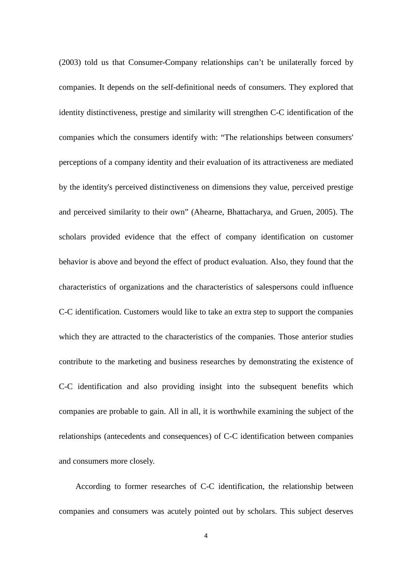(2003) told us that Consumer-Company relationships can't be unilaterally forced by companies. It depends on the self-definitional needs of consumers. They explored that identity distinctiveness, prestige and similarity will strengthen C-C identification of the companies which the consumers identify with: "The relationships between consumers' perceptions of a company identity and their evaluation of its attractiveness are mediated by the identity's perceived distinctiveness on dimensions they value, perceived prestige and perceived similarity to their own" (Ahearne, Bhattacharya, and Gruen, 2005). The scholars provided evidence that the effect of company identification on customer behavior is above and beyond the effect of product evaluation. Also, they found that the characteristics of organizations and the characteristics of salespersons could influence C-C identification. Customers would like to take an extra step to support the companies which they are attracted to the characteristics of the companies. Those anterior studies contribute to the marketing and business researches by demonstrating the existence of C-C identification and also providing insight into the subsequent benefits which companies are probable to gain. All in all, it is worthwhile examining the subject of the relationships (antecedents and consequences) of C-C identification between companies and consumers more closely.

According to former researches of C-C identification, the relationship between companies and consumers was acutely pointed out by scholars. This subject deserves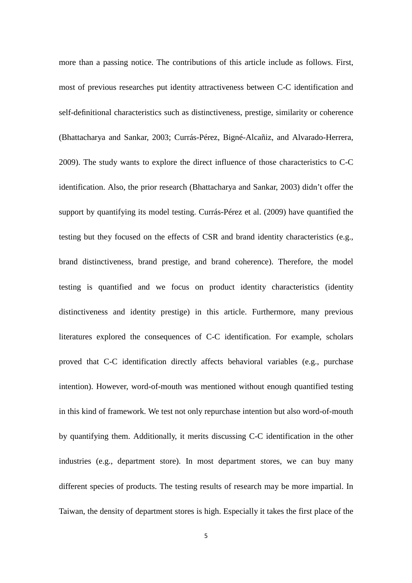more than a passing notice. The contributions of this article include as follows. First, most of previous researches put identity attractiveness between C-C identification and self-definitional characteristics such as distinctiveness, prestige, similarity or coherence (Bhattacharya and Sankar, 2003; Currás-Pérez, Bigné-Alcañiz, and Alvarado-Herrera, 2009). The study wants to explore the direct influence of those characteristics to C-C identification. Also, the prior research (Bhattacharya and Sankar, 2003) didn't offer the support by quantifying its model testing. Currás-Pérez et al. (2009) have quantified the testing but they focused on the effects of CSR and brand identity characteristics (e.g., brand distinctiveness, brand prestige, and brand coherence). Therefore, the model testing is quantified and we focus on product identity characteristics (identity distinctiveness and identity prestige) in this article. Furthermore, many previous literatures explored the consequences of C-C identification. For example, scholars proved that C-C identification directly affects behavioral variables (e.g., purchase intention). However, word-of-mouth was mentioned without enough quantified testing in this kind of framework. We test not only repurchase intention but also word-of-mouth by quantifying them. Additionally, it merits discussing C-C identification in the other industries (e.g., department store). In most department stores, we can buy many different species of products. The testing results of research may be more impartial. In Taiwan, the density of department stores is high. Especially it takes the first place of the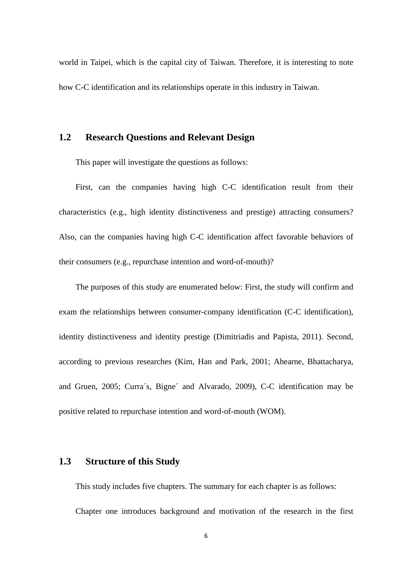world in Taipei, which is the capital city of Taiwan. Therefore, it is interesting to note how C-C identification and its relationships operate in this industry in Taiwan.

#### **1.2 Research Questions and Relevant Design**

This paper will investigate the questions as follows:

First, can the companies having high C-C identification result from their characteristics (e.g., high identity distinctiveness and prestige) attracting consumers? Also, can the companies having high C-C identification affect favorable behaviors of their consumers (e.g., repurchase intention and word-of-mouth)?

The purposes of this study are enumerated below: First, the study will confirm and exam the relationships between consumer-company identification (C-C identification), identity distinctiveness and identity prestige (Dimitriadis and Papista, 2011). Second, according to previous researches (Kim, Han and Park, 2001; Ahearne, Bhattacharya, and Gruen, 2005; Curra´s, Bigne´ and Alvarado, 2009), C-C identification may be positive related to repurchase intention and word-of-mouth (WOM).

#### **1.3 Structure of this Study**

This study includes five chapters. The summary for each chapter is as follows:

Chapter one introduces background and motivation of the research in the first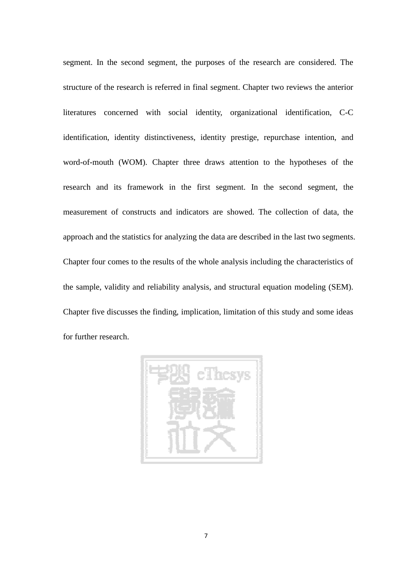segment. In the second segment, the purposes of the research are considered. The structure of the research is referred in final segment. Chapter two reviews the anterior literatures concerned with social identity, organizational identification, C-C identification, identity distinctiveness, identity prestige, repurchase intention, and word-of-mouth (WOM). Chapter three draws attention to the hypotheses of the research and its framework in the first segment. In the second segment, the measurement of constructs and indicators are showed. The collection of data, the approach and the statistics for analyzing the data are described in the last two segments. Chapter four comes to the results of the whole analysis including the characteristics of the sample, validity and reliability analysis, and structural equation modeling (SEM). Chapter five discusses the finding, implication, limitation of this study and some ideas for further research.

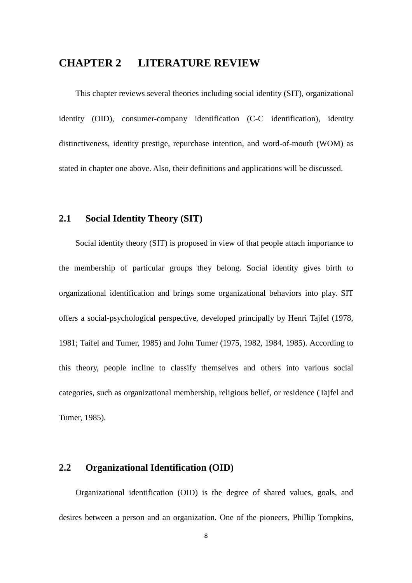## **CHAPTER 2 LITERATURE REVIEW**

 This chapter reviews several theories including social identity (SIT), organizational identity (OID), consumer-company identification (C-C identification), identity distinctiveness, identity prestige, repurchase intention, and word-of-mouth (WOM) as stated in chapter one above. Also, their definitions and applications will be discussed.

## **2.1 Social Identity Theory (SIT)**

 Social identity theory (SIT) is proposed in view of that people attach importance to the membership of particular groups they belong. Social identity gives birth to organizational identification and brings some organizational behaviors into play. SIT offers a social-psychological perspective, developed principally by Henri Tajfel (1978, 1981; Taifel and Tumer, 1985) and John Tumer (1975, 1982, 1984, 1985). According to this theory, people incline to classify themselves and others into various social categories, such as organizational membership, religious belief, or residence (Tajfel and Tumer, 1985).

### **2.2 Organizational Identification (OID)**

 Organizational identification (OID) is the degree of shared values, goals, and desires between a person and an organization. One of the pioneers, Phillip Tompkins,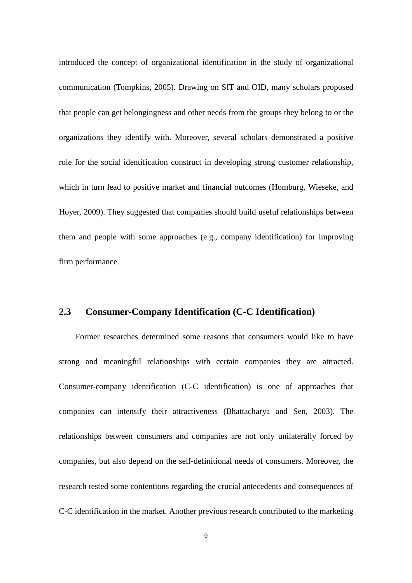introduced the concept of organizational identification in the study of organizational communication (Tompkins, 2005). Drawing on SIT and OID, many scholars proposed that people can get belongingness and other needs from the groups they belong to or the organizations they identify with. Moreover, several scholars demonstrated a positive role for the social identification construct in developing strong customer relationship, which in turn lead to positive market and financial outcomes (Homburg, Wieseke, and Hoyer, 2009). They suggested that companies should build useful relationships between them and people with some approaches (e.g., company identification) for improving firm performance.

#### **2.3 Consumer-Company Identification (C-C Identification)**

Former researches determined some reasons that consumers would like to have strong and meaningful relationships with certain companies they are attracted. Consumer-company identification (C-C identification) is one of approaches that companies can intensify their attractiveness (Bhattacharya and Sen, 2003). The relationships between consumers and companies are not only unilaterally forced by companies, but also depend on the self-definitional needs of consumers. Moreover, the research tested some contentions regarding the crucial antecedents and consequences of C-C identification in the market. Another previous research contributed to the marketing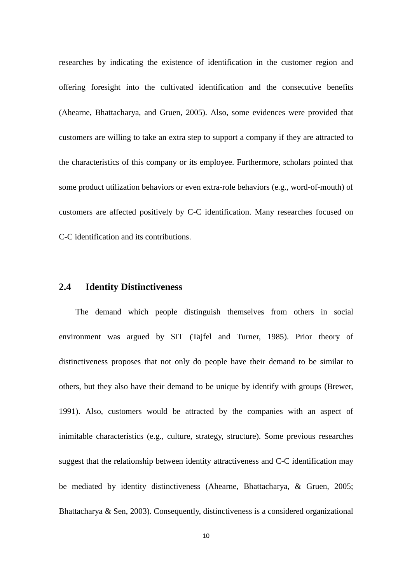researches by indicating the existence of identification in the customer region and offering foresight into the cultivated identification and the consecutive benefits (Ahearne, Bhattacharya, and Gruen, 2005). Also, some evidences were provided that customers are willing to take an extra step to support a company if they are attracted to the characteristics of this company or its employee. Furthermore, scholars pointed that some product utilization behaviors or even extra-role behaviors (e.g., word-of-mouth) of customers are affected positively by C-C identification. Many researches focused on C-C identification and its contributions.

#### **2.4 Identity Distinctiveness**

 The demand which people distinguish themselves from others in social environment was argued by SIT (Tajfel and Turner, 1985). Prior theory of distinctiveness proposes that not only do people have their demand to be similar to others, but they also have their demand to be unique by identify with groups (Brewer, 1991). Also, customers would be attracted by the companies with an aspect of inimitable characteristics (e.g., culture, strategy, structure). Some previous researches suggest that the relationship between identity attractiveness and C-C identification may be mediated by identity distinctiveness (Ahearne, Bhattacharya, & Gruen, 2005; Bhattacharya & Sen, 2003). Consequently, distinctiveness is a considered organizational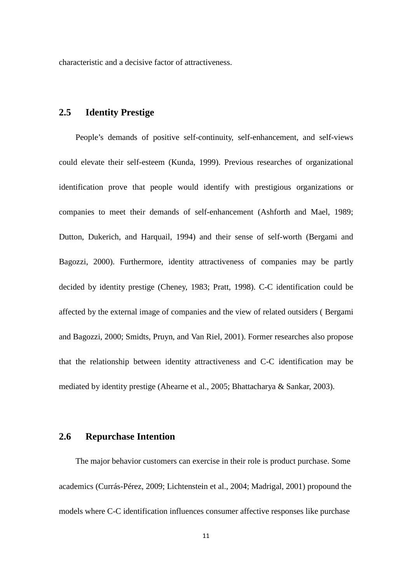characteristic and a decisive factor of attractiveness.

## **2.5 Identity Prestige**

 People's demands of positive self-continuity, self-enhancement, and self-views could elevate their self-esteem (Kunda, 1999). Previous researches of organizational identification prove that people would identify with prestigious organizations or companies to meet their demands of self-enhancement (Ashforth and Mael, 1989; Dutton, Dukerich, and Harquail, 1994) and their sense of self-worth (Bergami and Bagozzi, 2000). Furthermore, identity attractiveness of companies may be partly decided by identity prestige (Cheney, 1983; Pratt, 1998). C-C identification could be affected by the external image of companies and the view of related outsiders ( Bergami and Bagozzi, 2000; Smidts, Pruyn, and Van Riel, 2001). Former researches also propose that the relationship between identity attractiveness and C-C identification may be mediated by identity prestige (Ahearne et al., 2005; Bhattacharya & Sankar, 2003).

### **2.6 Repurchase Intention**

The major behavior customers can exercise in their role is product purchase. Some academics (Currás-Pérez, 2009; Lichtenstein et al., 2004; Madrigal, 2001) propound the models where C-C identification influences consumer affective responses like purchase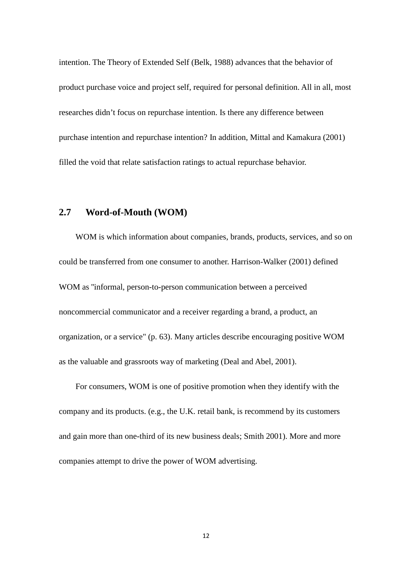intention. The Theory of Extended Self (Belk, 1988) advances that the behavior of product purchase voice and project self, required for personal definition. All in all, most researches didn't focus on repurchase intention. Is there any difference between purchase intention and repurchase intention? In addition, Mittal and Kamakura (2001) filled the void that relate satisfaction ratings to actual repurchase behavior.

#### **2.7 Word-of-Mouth (WOM)**

 WOM is which information about companies, brands, products, services, and so on could be transferred from one consumer to another. Harrison-Walker (2001) defined WOM as ''informal, person-to-person communication between a perceived noncommercial communicator and a receiver regarding a brand, a product, an organization, or a service" (p. 63). Many articles describe encouraging positive WOM as the valuable and grassroots way of marketing (Deal and Abel, 2001).

For consumers, WOM is one of positive promotion when they identify with the company and its products. (e.g., the U.K. retail bank, is recommend by its customers and gain more than one-third of its new business deals; Smith 2001). More and more companies attempt to drive the power of WOM advertising.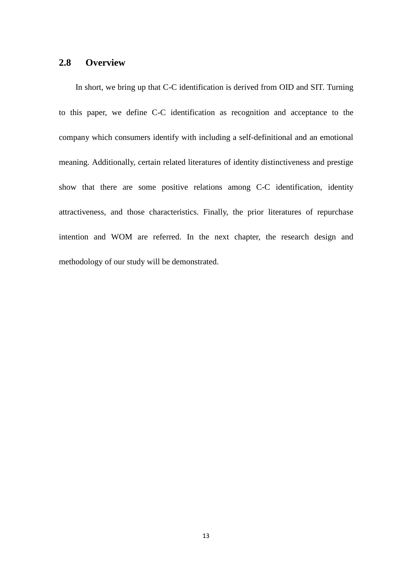### **2.8 Overview**

In short, we bring up that C-C identification is derived from OID and SIT. Turning to this paper, we define C-C identification as recognition and acceptance to the company which consumers identify with including a self-definitional and an emotional meaning. Additionally, certain related literatures of identity distinctiveness and prestige show that there are some positive relations among C-C identification, identity attractiveness, and those characteristics. Finally, the prior literatures of repurchase intention and WOM are referred. In the next chapter, the research design and methodology of our study will be demonstrated.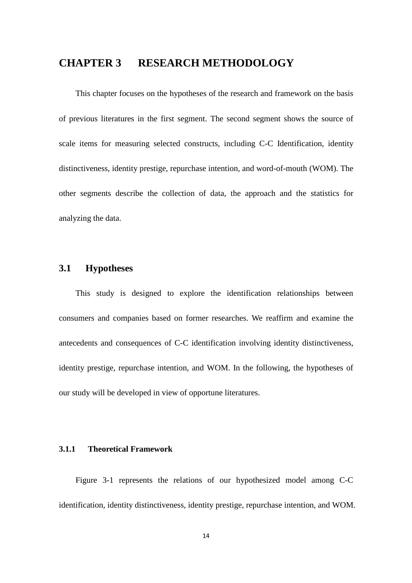## **CHAPTER 3 RESEARCH METHODOLOGY**

This chapter focuses on the hypotheses of the research and framework on the basis of previous literatures in the first segment. The second segment shows the source of scale items for measuring selected constructs, including C-C Identification, identity distinctiveness, identity prestige, repurchase intention, and word-of-mouth (WOM). The other segments describe the collection of data, the approach and the statistics for analyzing the data.

### **3.1 Hypotheses**

This study is designed to explore the identification relationships between consumers and companies based on former researches. We reaffirm and examine the antecedents and consequences of C-C identification involving identity distinctiveness, identity prestige, repurchase intention, and WOM. In the following, the hypotheses of our study will be developed in view of opportune literatures.

#### **3.1.1 Theoretical Framework**

Figure 3-1 represents the relations of our hypothesized model among C-C identification, identity distinctiveness, identity prestige, repurchase intention, and WOM.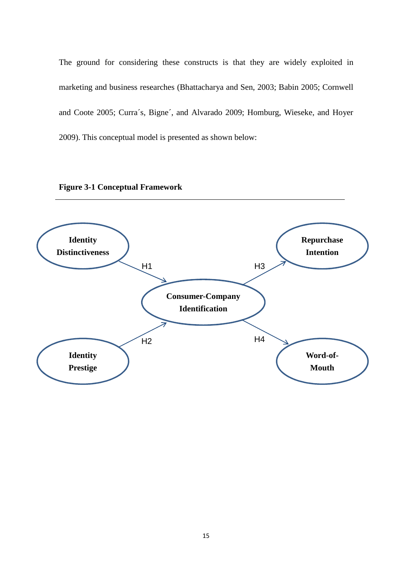The ground for considering these constructs is that they are widely exploited in marketing and business researches (Bhattacharya and Sen, 2003; Babin 2005; Cornwell and Coote 2005; Curra´s, Bigne´, and Alvarado 2009; Homburg, Wieseke, and Hoyer 2009). This conceptual model is presented as shown below:

**Figure 3-1 Conceptual Framework**

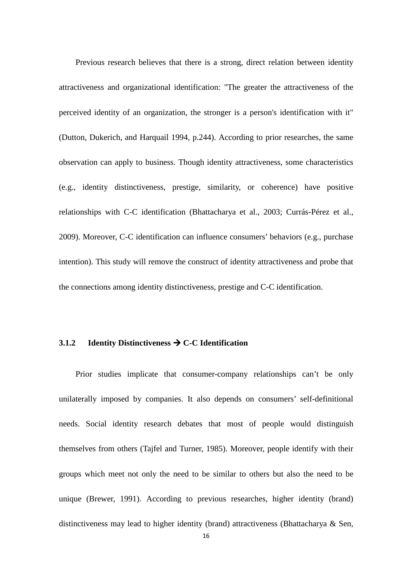Previous research believes that there is a strong, direct relation between identity attractiveness and organizational identification: "The greater the attractiveness of the perceived identity of an organization, the stronger is a person's identification with it" (Dutton, Dukerich, and Harquail 1994, p.244). According to prior researches, the same observation can apply to business. Though identity attractiveness, some characteristics (e.g., identity distinctiveness, prestige, similarity, or coherence) have positive relationships with C-C identification (Bhattacharya et al., 2003; Currás-Pérez et al., 2009). Moreover, C-C identification can influence consumers' behaviors (e.g., purchase intention). This study will remove the construct of identity attractiveness and probe that the connections among identity distinctiveness, prestige and C-C identification.

#### **3.1.2** Identity Distinctiveness  $\rightarrow$  C-C Identification

 Prior studies implicate that consumer-company relationships can't be only unilaterally imposed by companies. It also depends on consumers' self-definitional needs. Social identity research debates that most of people would distinguish themselves from others (Tajfel and Turner, 1985). Moreover, people identify with their groups which meet not only the need to be similar to others but also the need to be unique (Brewer, 1991). According to previous researches, higher identity (brand) distinctiveness may lead to higher identity (brand) attractiveness (Bhattacharya & Sen,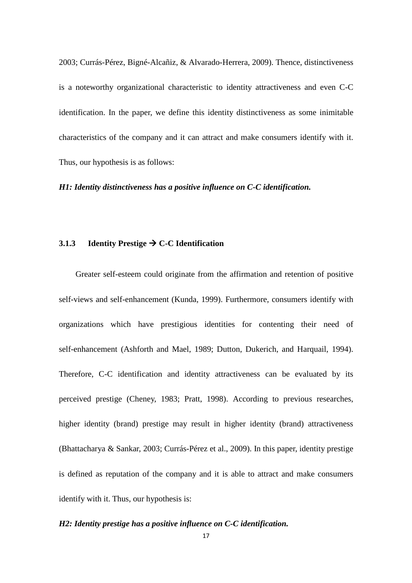2003; Currás-Pérez, Bigné-Alcañiz, & Alvarado-Herrera, 2009). Thence, distinctiveness is a noteworthy organizational characteristic to identity attractiveness and even C-C identification. In the paper, we define this identity distinctiveness as some inimitable characteristics of the company and it can attract and make consumers identify with it. Thus, our hypothesis is as follows:

#### *H1: Identity distinctiveness has a positive influence on C-C identification.*

#### **3.1.3** Identity Prestige → C-C Identification

 Greater self-esteem could originate from the affirmation and retention of positive self-views and self-enhancement (Kunda, 1999). Furthermore, consumers identify with organizations which have prestigious identities for contenting their need of self-enhancement (Ashforth and Mael, 1989; Dutton, Dukerich, and Harquail, 1994). Therefore, C-C identification and identity attractiveness can be evaluated by its perceived prestige (Cheney, 1983; Pratt, 1998). According to previous researches, higher identity (brand) prestige may result in higher identity (brand) attractiveness (Bhattacharya & Sankar, 2003; Currás-Pérez et al., 2009). In this paper, identity prestige is defined as reputation of the company and it is able to attract and make consumers identify with it. Thus, our hypothesis is:

#### *H2: Identity prestige has a positive influence on C-C identification.*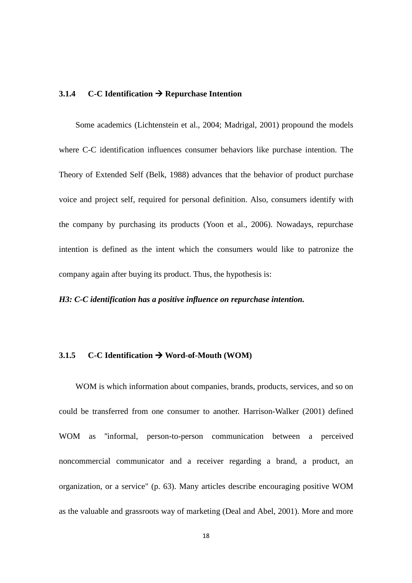#### **3.1.4 C-C Identification Repurchase Intention**

 Some academics (Lichtenstein et al., 2004; Madrigal, 2001) propound the models where C-C identification influences consumer behaviors like purchase intention. The Theory of Extended Self (Belk, 1988) advances that the behavior of product purchase voice and project self, required for personal definition. Also, consumers identify with the company by purchasing its products (Yoon et al., 2006). Nowadays, repurchase intention is defined as the intent which the consumers would like to patronize the company again after buying its product. Thus, the hypothesis is:

*H3: C-C identification has a positive influence on repurchase intention.* 

#### **3.1.5** C-C Identification  $\rightarrow$  Word-of-Mouth (WOM)

 WOM is which information about companies, brands, products, services, and so on could be transferred from one consumer to another. Harrison-Walker (2001) defined WOM as ''informal, person-to-person communication between a perceived noncommercial communicator and a receiver regarding a brand, a product, an organization, or a service" (p. 63). Many articles describe encouraging positive WOM as the valuable and grassroots way of marketing (Deal and Abel, 2001). More and more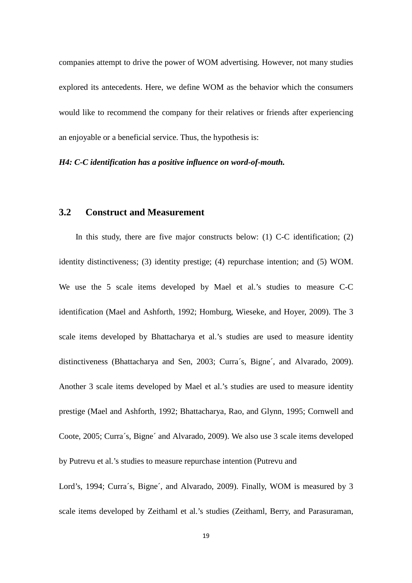companies attempt to drive the power of WOM advertising. However, not many studies explored its antecedents. Here, we define WOM as the behavior which the consumers would like to recommend the company for their relatives or friends after experiencing an enjoyable or a beneficial service. Thus, the hypothesis is:

*H4: C-C identification has a positive influence on word-of-mouth.* 

#### **3.2 Construct and Measurement**

In this study, there are five major constructs below:  $(1)$  C-C identification;  $(2)$ identity distinctiveness; (3) identity prestige; (4) repurchase intention; and (5) WOM. We use the 5 scale items developed by Mael et al.'s studies to measure C-C identification (Mael and Ashforth, 1992; Homburg, Wieseke, and Hoyer, 2009). The 3 scale items developed by Bhattacharya et al.'s studies are used to measure identity distinctiveness (Bhattacharya and Sen, 2003; Curra´s, Bigne´, and Alvarado, 2009). Another 3 scale items developed by Mael et al.'s studies are used to measure identity prestige (Mael and Ashforth, 1992; Bhattacharya, Rao, and Glynn, 1995; Cornwell and Coote, 2005; Curra´s, Bigne´ and Alvarado, 2009). We also use 3 scale items developed by Putrevu et al.'s studies to measure repurchase intention (Putrevu and

Lord's, 1994; Curra's, Bigne', and Alvarado, 2009). Finally, WOM is measured by 3 scale items developed by Zeithaml et al.'s studies (Zeithaml, Berry, and Parasuraman,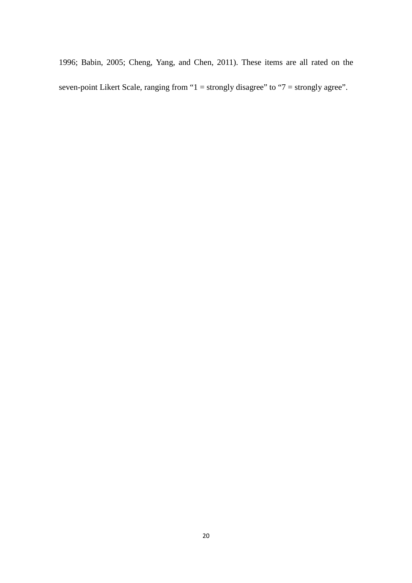1996; Babin, 2005; Cheng, Yang, and Chen, 2011). These items are all rated on the seven-point Likert Scale, ranging from " $1 =$  strongly disagree" to " $7 =$  strongly agree".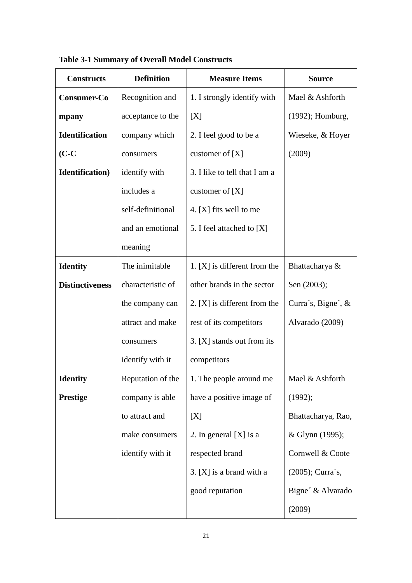| <b>Constructs</b>       | <b>Definition</b> | <b>Measure Items</b>           | <b>Source</b>      |
|-------------------------|-------------------|--------------------------------|--------------------|
| Consumer-Co             | Recognition and   | 1. I strongly identify with    | Mael & Ashforth    |
| mpany                   | acceptance to the | [X]                            | (1992); Homburg,   |
| <b>Identification</b>   | company which     | 2. I feel good to be a         | Wieseke, & Hoyer   |
| $(C-C)$                 | consumers         | customer of $[X]$              | (2009)             |
| <b>Identification</b> ) | identify with     | 3. I like to tell that I am a  |                    |
|                         | includes a        | customer of $[X]$              |                    |
|                         | self-definitional | 4. $[X]$ fits well to me       |                    |
|                         | and an emotional  | 5. I feel attached to [X]      |                    |
|                         | meaning           |                                |                    |
| <b>Identity</b>         | The inimitable    | 1. $[X]$ is different from the | Bhattacharya &     |
| <b>Distinctiveness</b>  | characteristic of | other brands in the sector     | Sen (2003);        |
|                         | the company can   | 2. $[X]$ is different from the | Curra's, Bigne', & |
|                         | attract and make  | rest of its competitors        | Alvarado (2009)    |
|                         | consumers         | 3. [X] stands out from its     |                    |
|                         | identify with it  | competitors                    |                    |
| <b>Identity</b>         | Reputation of the | 1. The people around me        | Mael & Ashforth    |
| <b>Prestige</b>         | company is able   | have a positive image of       | (1992);            |
|                         | to attract and    | [X]                            | Bhattacharya, Rao, |
|                         | make consumers    | 2. In general $[X]$ is a       | & Glynn (1995);    |
|                         | identify with it  | respected brand                | Cornwell & Coote   |
|                         |                   | 3. [X] is a brand with a       | (2005); Curra's,   |
|                         |                   | good reputation                | Bigne & Alvarado   |
|                         |                   |                                | (2009)             |

**Table 3-1 Summary of Overall Model Constructs**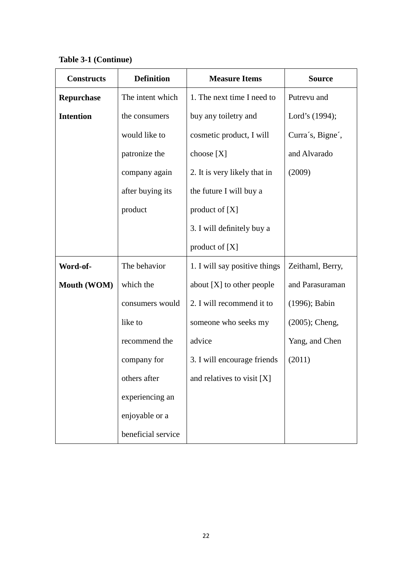**Table 3-1 (Continue)** 

| <b>Constructs</b> | <b>Definition</b>  | <b>Measure Items</b>          | <b>Source</b>     |  |
|-------------------|--------------------|-------------------------------|-------------------|--|
| Repurchase        | The intent which   | 1. The next time I need to    | Putrevu and       |  |
| <b>Intention</b>  | the consumers      | buy any toiletry and          | Lord's (1994);    |  |
|                   | would like to      | cosmetic product, I will      | Curra's, Bigne',  |  |
|                   | patronize the      | choose [X]                    | and Alvarado      |  |
|                   | company again      | 2. It is very likely that in  | (2009)            |  |
|                   | after buying its   | the future I will buy a       |                   |  |
|                   | product            | product of [X]                |                   |  |
|                   |                    | 3. I will definitely buy a    |                   |  |
|                   |                    | product of [X]                |                   |  |
| Word-of-          | The behavior       | 1. I will say positive things | Zeithaml, Berry,  |  |
| Mouth (WOM)       | which the          | about [X] to other people     | and Parasuraman   |  |
|                   | consumers would    | 2. I will recommend it to     | (1996); Babin     |  |
|                   | like to            | someone who seeks my          | $(2005)$ ; Cheng, |  |
|                   | recommend the      | advice                        | Yang, and Chen    |  |
|                   | company for        | 3. I will encourage friends   | (2011)            |  |
|                   | others after       | and relatives to visit [X]    |                   |  |
|                   | experiencing an    |                               |                   |  |
|                   | enjoyable or a     |                               |                   |  |
|                   | beneficial service |                               |                   |  |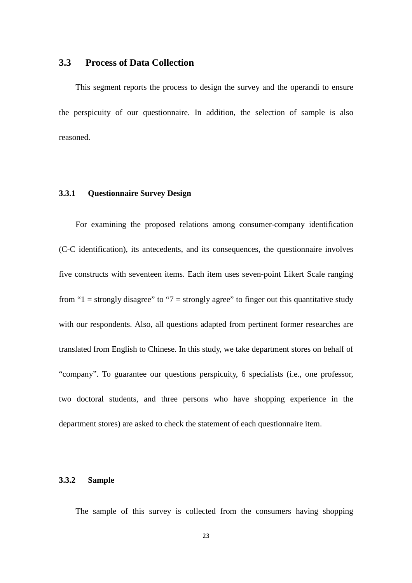#### **3.3 Process of Data Collection**

 This segment reports the process to design the survey and the operandi to ensure the perspicuity of our questionnaire. In addition, the selection of sample is also reasoned.

#### **3.3.1 Questionnaire Survey Design**

 For examining the proposed relations among consumer-company identification (C-C identification), its antecedents, and its consequences, the questionnaire involves five constructs with seventeen items. Each item uses seven-point Likert Scale ranging from "1 = strongly disagree" to "7 = strongly agree" to finger out this quantitative study with our respondents. Also, all questions adapted from pertinent former researches are translated from English to Chinese. In this study, we take department stores on behalf of "company". To guarantee our questions perspicuity, 6 specialists (i.e., one professor, two doctoral students, and three persons who have shopping experience in the department stores) are asked to check the statement of each questionnaire item.

#### **3.3.2 Sample**

The sample of this survey is collected from the consumers having shopping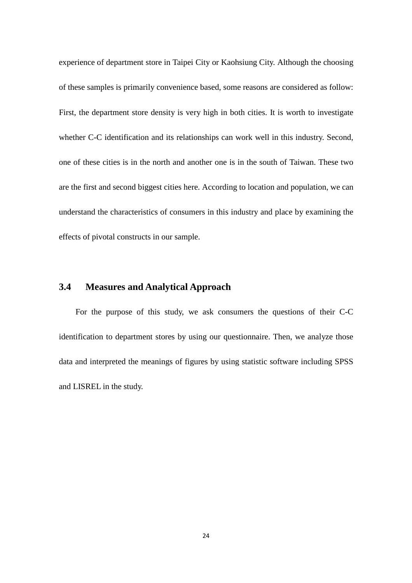experience of department store in Taipei City or Kaohsiung City. Although the choosing of these samples is primarily convenience based, some reasons are considered as follow: First, the department store density is very high in both cities. It is worth to investigate whether C-C identification and its relationships can work well in this industry. Second, one of these cities is in the north and another one is in the south of Taiwan. These two are the first and second biggest cities here. According to location and population, we can understand the characteristics of consumers in this industry and place by examining the effects of pivotal constructs in our sample.

## **3.4 Measures and Analytical Approach**

For the purpose of this study, we ask consumers the questions of their C-C identification to department stores by using our questionnaire. Then, we analyze those data and interpreted the meanings of figures by using statistic software including SPSS and LISREL in the study.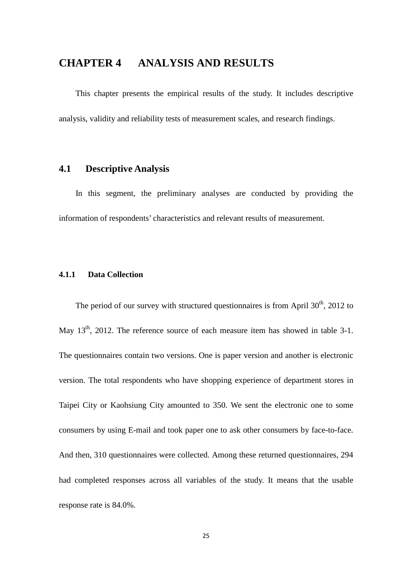## **CHAPTER 4 ANALYSIS AND RESULTS**

 This chapter presents the empirical results of the study. It includes descriptive analysis, validity and reliability tests of measurement scales, and research findings.

## **4.1 Descriptive Analysis**

 In this segment, the preliminary analyses are conducted by providing the information of respondents' characteristics and relevant results of measurement.

#### **4.1.1 Data Collection**

The period of our survey with structured questionnaires is from April  $30<sup>th</sup>$ , 2012 to May  $13<sup>th</sup>$ , 2012. The reference source of each measure item has showed in table 3-1. The questionnaires contain two versions. One is paper version and another is electronic version. The total respondents who have shopping experience of department stores in Taipei City or Kaohsiung City amounted to 350. We sent the electronic one to some consumers by using E-mail and took paper one to ask other consumers by face-to-face. And then, 310 questionnaires were collected. Among these returned questionnaires, 294 had completed responses across all variables of the study. It means that the usable response rate is 84.0%.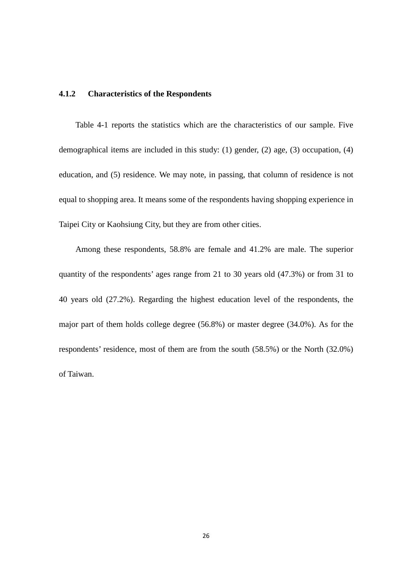#### **4.1.2 Characteristics of the Respondents**

 Table 4-1 reports the statistics which are the characteristics of our sample. Five demographical items are included in this study: (1) gender, (2) age, (3) occupation, (4) education, and (5) residence. We may note, in passing, that column of residence is not equal to shopping area. It means some of the respondents having shopping experience in Taipei City or Kaohsiung City, but they are from other cities.

 Among these respondents, 58.8% are female and 41.2% are male. The superior quantity of the respondents' ages range from 21 to 30 years old (47.3%) or from 31 to 40 years old (27.2%). Regarding the highest education level of the respondents, the major part of them holds college degree (56.8%) or master degree (34.0%). As for the respondents' residence, most of them are from the south (58.5%) or the North (32.0%) of Taiwan.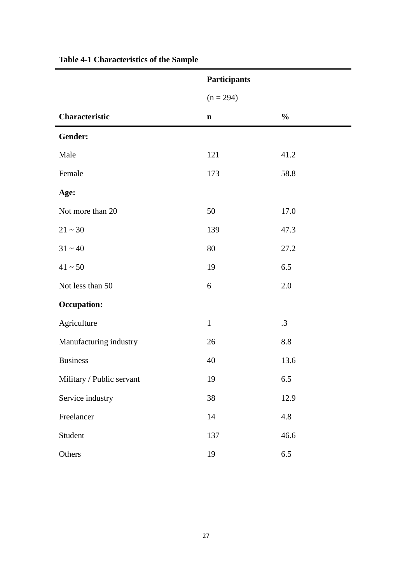|                           | Participants |               |
|---------------------------|--------------|---------------|
|                           | $(n = 294)$  |               |
| Characteristic            | $\mathbf n$  | $\frac{0}{0}$ |
| Gender:                   |              |               |
| Male                      | 121          | 41.2          |
| Female                    | 173          | 58.8          |
| Age:                      |              |               |
| Not more than 20          | 50           | 17.0          |
| $21\sim30$                | 139          | 47.3          |
| $31\sim40$                | 80           | 27.2          |
| $41\sim50$                | 19           | 6.5           |
| Not less than 50          | 6            | $2.0\,$       |
| <b>Occupation:</b>        |              |               |
| Agriculture               | $1\,$        | .3            |
| Manufacturing industry    | 26           | 8.8           |
| <b>Business</b>           | 40           | 13.6          |
| Military / Public servant | 19           | 6.5           |
| Service industry          | 38           | 12.9          |
| Freelancer                | 14           | 4.8           |
| Student                   | 137          | 46.6          |
| Others                    | 19           | $6.5\,$       |

|  | <b>Table 4-1 Characteristics of the Sample</b> |  |  |
|--|------------------------------------------------|--|--|
|--|------------------------------------------------|--|--|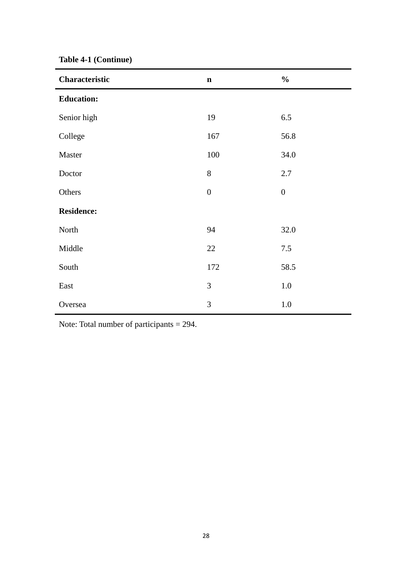**Table 4-1 (Continue)** 

| Characteristic    | $\mathbf n$      | $\frac{0}{0}$    |
|-------------------|------------------|------------------|
| <b>Education:</b> |                  |                  |
| Senior high       | 19               | 6.5              |
| College           | 167              | 56.8             |
| Master            | 100              | 34.0             |
| Doctor            | 8                | 2.7              |
| Others            | $\boldsymbol{0}$ | $\boldsymbol{0}$ |
| <b>Residence:</b> |                  |                  |
| North             | 94               | 32.0             |
| Middle            | 22               | 7.5              |
| South             | 172              | 58.5             |
| East              | 3                | $1.0\,$          |
| Oversea           | 3                | $1.0\,$          |

Note: Total number of participants = 294.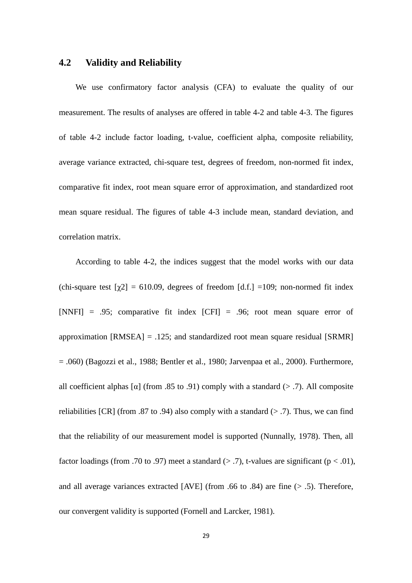#### **4.2 Validity and Reliability**

 We use confirmatory factor analysis (CFA) to evaluate the quality of our measurement. The results of analyses are offered in table 4-2 and table 4-3. The figures of table 4-2 include factor loading, t-value, coefficient alpha, composite reliability, average variance extracted, chi-square test, degrees of freedom, non-normed fit index, comparative fit index, root mean square error of approximation, and standardized root mean square residual. The figures of table 4-3 include mean, standard deviation, and correlation matrix.

 According to table 4-2, the indices suggest that the model works with our data (chi-square test  $[\gamma^2] = 610.09$ , degrees of freedom [d.f.] =109; non-normed fit index [NNFI] = .95; comparative fit index  $[CFI] = .96$ ; root mean square error of approximation  $[RMSEA] = .125$ ; and standardized root mean square residual  $[SRMR]$  $= .060$ ) (Bagozzi et al., 1988; Bentler et al., 1980; Jarvenpaa et al., 2000). Furthermore, all coefficient alphas [ $\alpha$ ] (from .85 to .91) comply with a standard ( $>$  .7). All composite reliabilities [CR] (from .87 to .94) also comply with a standard  $(> .7)$ . Thus, we can find that the reliability of our measurement model is supported (Nunnally, 1978). Then, all factor loadings (from .70 to .97) meet a standard  $(> .7)$ , t-values are significant ( $p < .01$ ), and all average variances extracted [AVE] (from .66 to .84) are fine (> .5). Therefore, our convergent validity is supported (Fornell and Larcker, 1981).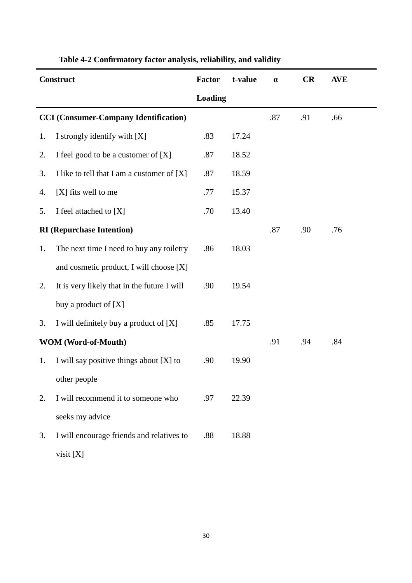|    | <b>Construct</b>                             | <b>Factor</b>  | t-value | $\pmb{\alpha}$ | CR  | <b>AVE</b> |
|----|----------------------------------------------|----------------|---------|----------------|-----|------------|
|    |                                              | <b>Loading</b> |         |                |     |            |
|    | <b>CCI</b> (Consumer-Company Identification) |                |         | .87            | .91 | .66        |
| 1. | I strongly identify with [X]                 | .83            | 17.24   |                |     |            |
| 2. | I feel good to be a customer of [X]          | .87            | 18.52   |                |     |            |
| 3. | I like to tell that I am a customer of [X]   | .87            | 18.59   |                |     |            |
| 4. | [X] fits well to me                          | .77            | 15.37   |                |     |            |
| 5. | I feel attached to [X]                       | .70            | 13.40   |                |     |            |
|    | <b>RI</b> (Repurchase Intention)             |                |         | .87            | .90 | .76        |
| 1. | The next time I need to buy any toiletry     | .86            | 18.03   |                |     |            |
|    | and cosmetic product, I will choose [X]      |                |         |                |     |            |
| 2. | It is very likely that in the future I will  | .90            | 19.54   |                |     |            |
|    | buy a product of [X]                         |                |         |                |     |            |
| 3. | I will definitely buy a product of [X]       | .85            | 17.75   |                |     |            |
|    | WOM (Word-of-Mouth)                          |                |         | .91            | .94 | .84        |
| 1. | I will say positive things about [X] to      | .90            | 19.90   |                |     |            |
|    | other people                                 |                |         |                |     |            |
| 2. | I will recommend it to someone who           | .97            | 22.39   |                |     |            |
|    | seeks my advice                              |                |         |                |     |            |
| 3. | I will encourage friends and relatives to    | .88            | 18.88   |                |     |            |
|    | visit [X]                                    |                |         |                |     |            |

## **Table 4-2 Confirmatory factor analysis, reliability, and validity**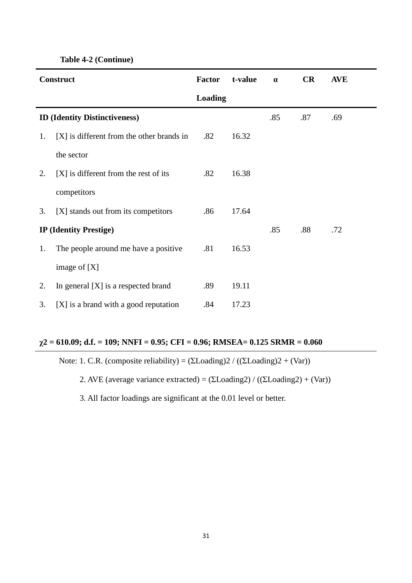| <b>Construct</b> |                                             | <b>Factor</b> | t-value | $\alpha$ | CR  | <b>AVE</b> |
|------------------|---------------------------------------------|---------------|---------|----------|-----|------------|
|                  |                                             | Loading       |         |          |     |            |
|                  | <b>ID</b> (Identity Distinctiveness)        |               |         | .85      | .87 | .69        |
| 1.               | $[X]$ is different from the other brands in | .82           | 16.32   |          |     |            |
|                  | the sector                                  |               |         |          |     |            |
| 2.               | $[X]$ is different from the rest of its     | .82           | 16.38   |          |     |            |
|                  | competitors                                 |               |         |          |     |            |
| 3.               | [X] stands out from its competitors         | .86           | 17.64   |          |     |            |
|                  | <b>IP</b> (Identity Prestige)               |               |         | .85      | .88 | .72        |
| 1.               | The people around me have a positive        | .81           | 16.53   |          |     |            |
|                  | image of $[X]$                              |               |         |          |     |            |
| 2.               | In general $[X]$ is a respected brand       | .89           | 19.11   |          |     |            |
| 3.               | [X] is a brand with a good reputation       | .84           | 17.23   |          |     |            |

## **Table 4-2 (Continue)**

## **χ2 = 610.09; d.f. = 109; NNFI = 0.95; CFI = 0.96; RMSEA= 0.125 SRMR = 0.060**

Note: 1. C.R. (composite reliability) =  $(Σ$ Loading) $2 / ((Σ$ Loading) $2 + (Var))$ 

2. AVE (average variance extracted) =  $(\Sigma$ Loading2) / ( $(\Sigma$ Loading2) + (Var))

3. All factor loadings are significant at the 0.01 level or better.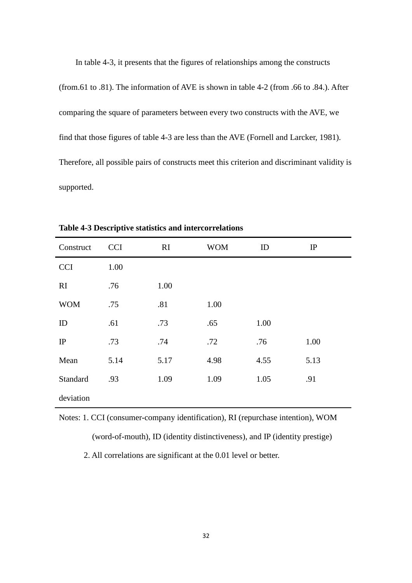In table 4-3, it presents that the figures of relationships among the constructs

(from.61 to .81). The information of AVE is shown in table 4-2 (from .66 to .84.). After comparing the square of parameters between every two constructs with the AVE, we find that those figures of table 4-3 are less than the AVE (Fornell and Larcker, 1981). Therefore, all possible pairs of constructs meet this criterion and discriminant validity is supported.

| Construct  | <b>CCI</b> | RI   | <b>WOM</b> | ID   | $\rm IP$ |
|------------|------------|------|------------|------|----------|
| <b>CCI</b> | 1.00       |      |            |      |          |
| RI         | .76        | 1.00 |            |      |          |
| <b>WOM</b> | .75        | .81  | 1.00       |      |          |
| ID         | .61        | .73  | .65        | 1.00 |          |
| IP         | .73        | .74  | .72        | .76  | 1.00     |
| Mean       | 5.14       | 5.17 | 4.98       | 4.55 | 5.13     |
| Standard   | .93        | 1.09 | 1.09       | 1.05 | .91      |
| deviation  |            |      |            |      |          |

**Table 4-3 Descriptive statistics and intercorrelations** 

Notes: 1. CCI (consumer-company identification), RI (repurchase intention), WOM

(word-of-mouth), ID (identity distinctiveness), and IP (identity prestige)

2. All correlations are significant at the 0.01 level or better.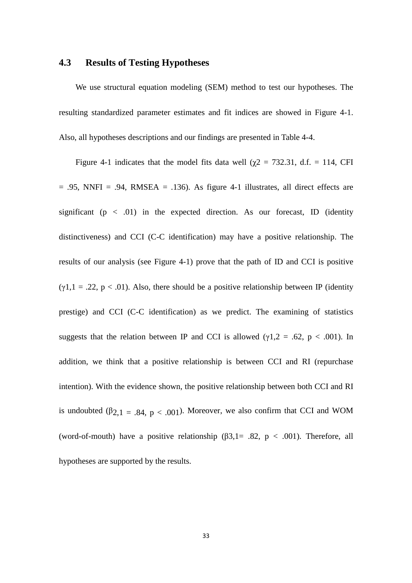#### **4.3 Results of Testing Hypotheses**

 We use structural equation modeling (SEM) method to test our hypotheses. The resulting standardized parameter estimates and fit indices are showed in Figure 4-1. Also, all hypotheses descriptions and our findings are presented in Table 4-4.

Figure 4-1 indicates that the model fits data well ( $\chi$ 2 = 732.31, d.f. = 114, CFI  $= .95$ , NNFI = .94, RMSEA = .136). As figure 4-1 illustrates, all direct effects are significant ( $p < .01$ ) in the expected direction. As our forecast, ID (identity distinctiveness) and CCI (C-C identification) may have a positive relationship. The results of our analysis (see Figure 4-1) prove that the path of ID and CCI is positive  $(\gamma 1, 1 = .22, p < .01)$ . Also, there should be a positive relationship between IP (identity prestige) and CCI (C-C identification) as we predict. The examining of statistics suggests that the relation between IP and CCI is allowed ( $\gamma$ 1,2 = .62, p < .001). In addition, we think that a positive relationship is between CCI and RI (repurchase intention). With the evidence shown, the positive relationship between both CCI and RI is undoubted ( $\beta_{2,1} = .84$ ,  $p < .001$ ). Moreover, we also confirm that CCI and WOM (word-of-mouth) have a positive relationship ( $\beta$ 3,1= .82, p < .001). Therefore, all hypotheses are supported by the results.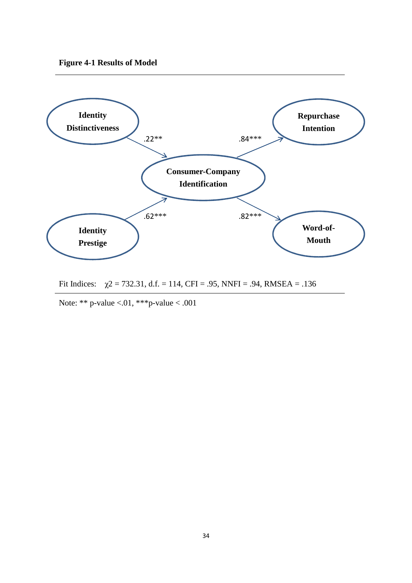

Fit Indices:  $\chi$ 2 = 732.31, d.f. = 114, CFI = .95, NNFI = .94, RMSEA = .136

Note: \*\* p-value <.01, \*\*\* p-value < .001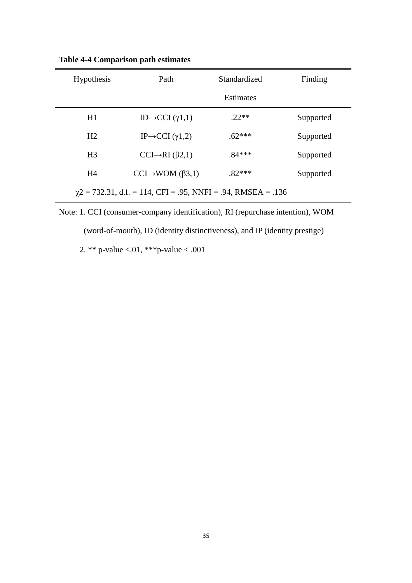| Hypothesis                                                           | Path                                | Standardized | Finding   |  |  |  |
|----------------------------------------------------------------------|-------------------------------------|--------------|-----------|--|--|--|
|                                                                      | <b>Estimates</b>                    |              |           |  |  |  |
| H1                                                                   | ID $\rightarrow$ CCI $(\gamma 1,1)$ | $22**$       | Supported |  |  |  |
| H <sub>2</sub>                                                       | IP $\rightarrow$ CCI $(\gamma$ 1,2) | $62***$      | Supported |  |  |  |
| H <sub>3</sub>                                                       | $CCI \rightarrow RI$ ( $\beta$ 2,1) | $84***$      | Supported |  |  |  |
| H <sub>4</sub>                                                       | $CCI \rightarrow WOM (63,1)$        | $.82***$     | Supported |  |  |  |
| $\gamma$ 2 = 732.31, d.f. = 114, CFI = .95, NNFI = .94, RMSEA = .136 |                                     |              |           |  |  |  |

**Table 4-4 Comparison path estimates** 

Note: 1. CCI (consumer-company identification), RI (repurchase intention), WOM

(word-of-mouth), ID (identity distinctiveness), and IP (identity prestige)

2. \*\* p-value <.01, \*\*\*p-value < .001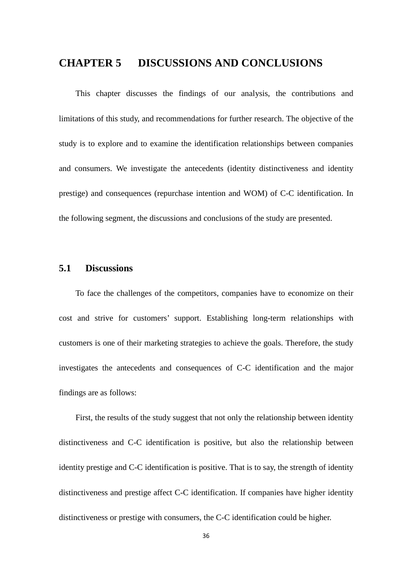## **CHAPTER 5 DISCUSSIONS AND CONCLUSIONS**

 This chapter discusses the findings of our analysis, the contributions and limitations of this study, and recommendations for further research. The objective of the study is to explore and to examine the identification relationships between companies and consumers. We investigate the antecedents (identity distinctiveness and identity prestige) and consequences (repurchase intention and WOM) of C-C identification. In the following segment, the discussions and conclusions of the study are presented.

#### **5.1 Discussions**

 To face the challenges of the competitors, companies have to economize on their cost and strive for customers' support. Establishing long-term relationships with customers is one of their marketing strategies to achieve the goals. Therefore, the study investigates the antecedents and consequences of C-C identification and the major findings are as follows:

 First, the results of the study suggest that not only the relationship between identity distinctiveness and C-C identification is positive, but also the relationship between identity prestige and C-C identification is positive. That is to say, the strength of identity distinctiveness and prestige affect C-C identification. If companies have higher identity distinctiveness or prestige with consumers, the C-C identification could be higher.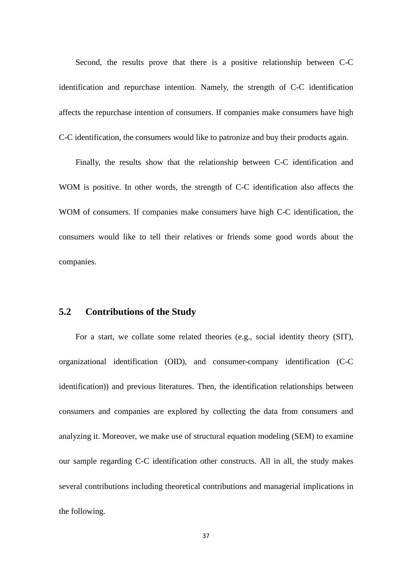Second, the results prove that there is a positive relationship between C-C identification and repurchase intention. Namely, the strength of C-C identification affects the repurchase intention of consumers. If companies make consumers have high C-C identification, the consumers would like to patronize and buy their products again.

 Finally, the results show that the relationship between C-C identification and WOM is positive. In other words, the strength of C-C identification also affects the WOM of consumers. If companies make consumers have high C-C identification, the consumers would like to tell their relatives or friends some good words about the companies.

#### **5.2 Contributions of the Study**

For a start, we collate some related theories (e.g., social identity theory (SIT), organizational identification (OID), and consumer-company identification (C-C identification)) and previous literatures. Then, the identification relationships between consumers and companies are explored by collecting the data from consumers and analyzing it. Moreover, we make use of structural equation modeling (SEM) to examine our sample regarding C-C identification other constructs. All in all, the study makes several contributions including theoretical contributions and managerial implications in the following.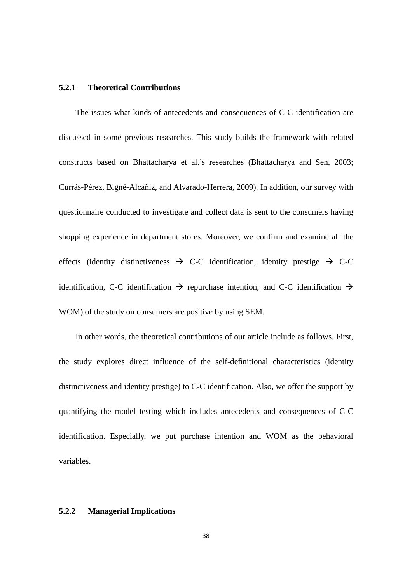#### **5.2.1 Theoretical Contributions**

The issues what kinds of antecedents and consequences of C-C identification are discussed in some previous researches. This study builds the framework with related constructs based on Bhattacharya et al.'s researches (Bhattacharya and Sen, 2003; Currás-Pérez, Bigné-Alcañiz, and Alvarado-Herrera, 2009). In addition, our survey with questionnaire conducted to investigate and collect data is sent to the consumers having shopping experience in department stores. Moreover, we confirm and examine all the effects (identity distinctiveness  $\rightarrow$  C-C identification, identity prestige  $\rightarrow$  C-C identification, C-C identification  $\rightarrow$  repurchase intention, and C-C identification  $\rightarrow$ WOM) of the study on consumers are positive by using SEM.

In other words, the theoretical contributions of our article include as follows. First, the study explores direct influence of the self-definitional characteristics (identity distinctiveness and identity prestige) to C-C identification. Also, we offer the support by quantifying the model testing which includes antecedents and consequences of C-C identification. Especially, we put purchase intention and WOM as the behavioral variables.

#### **5.2.2 Managerial Implications**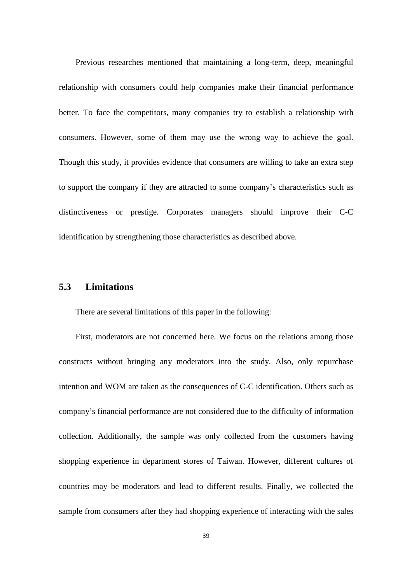Previous researches mentioned that maintaining a long-term, deep, meaningful relationship with consumers could help companies make their financial performance better. To face the competitors, many companies try to establish a relationship with consumers. However, some of them may use the wrong way to achieve the goal. Though this study, it provides evidence that consumers are willing to take an extra step to support the company if they are attracted to some company's characteristics such as distinctiveness or prestige. Corporates managers should improve their C-C identification by strengthening those characteristics as described above.

#### **5.3 Limitations**

There are several limitations of this paper in the following:

First, moderators are not concerned here. We focus on the relations among those constructs without bringing any moderators into the study. Also, only repurchase intention and WOM are taken as the consequences of C-C identification. Others such as company's financial performance are not considered due to the difficulty of information collection. Additionally, the sample was only collected from the customers having shopping experience in department stores of Taiwan. However, different cultures of countries may be moderators and lead to different results. Finally, we collected the sample from consumers after they had shopping experience of interacting with the sales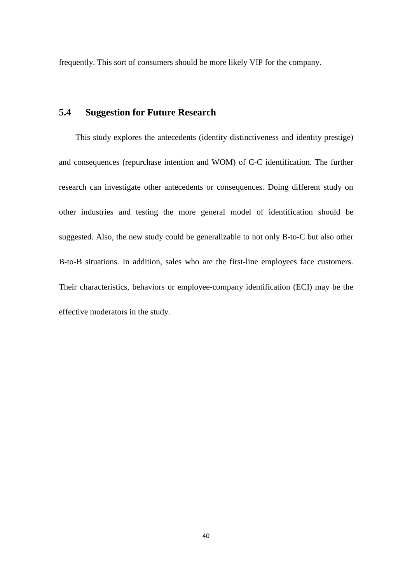frequently. This sort of consumers should be more likely VIP for the company.

## **5.4 Suggestion for Future Research**

 This study explores the antecedents (identity distinctiveness and identity prestige) and consequences (repurchase intention and WOM) of C-C identification. The further research can investigate other antecedents or consequences. Doing different study on other industries and testing the more general model of identification should be suggested. Also, the new study could be generalizable to not only B-to-C but also other B-to-B situations. In addition, sales who are the first-line employees face customers. Their characteristics, behaviors or employee-company identification (ECI) may be the effective moderators in the study.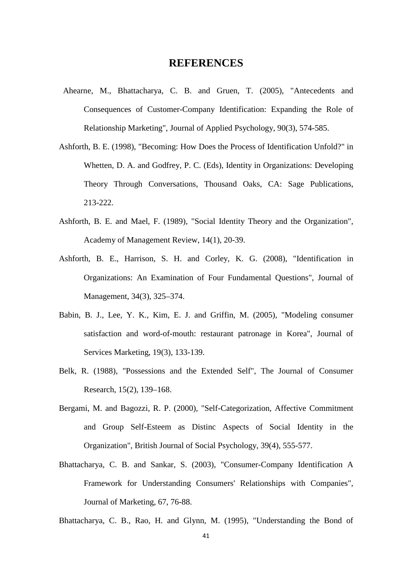### **REFERENCES**

- Ahearne, M., Bhattacharya, C. B. and Gruen, T. (2005), "Antecedents and Consequences of Customer-Company Identification: Expanding the Role of Relationship Marketing", Journal of Applied Psychology, 90(3), 574-585.
- Ashforth, B. E. (1998), "Becoming: How Does the Process of Identification Unfold?" in Whetten, D. A. and Godfrey, P. C. (Eds), Identity in Organizations: Developing Theory Through Conversations, Thousand Oaks, CA: Sage Publications, 213-222.
- Ashforth, B. E. and Mael, F. (1989), "Social Identity Theory and the Organization", Academy of Management Review, 14(1), 20-39.
- Ashforth, B. E., Harrison, S. H. and Corley, K. G. (2008), "Identification in Organizations: An Examination of Four Fundamental Questions", Journal of Management, 34(3), 325–374.
- Babin, B. J., Lee, Y. K., Kim, E. J. and Griffin, M. (2005), "Modeling consumer satisfaction and word-of-mouth: restaurant patronage in Korea", Journal of Services Marketing, 19(3), 133-139.
- Belk, R. (1988), "Possessions and the Extended Self", The Journal of Consumer Research, 15(2), 139–168.
- Bergami, M. and Bagozzi, R. P. (2000), "Self-Categorization, Affective Commitment and Group Self-Esteem as Distinc Aspects of Social Identity in the Organization", British Journal of Social Psychology, 39(4), 555-577.
- Bhattacharya, C. B. and Sankar, S. (2003), "Consumer-Company Identification A Framework for Understanding Consumers' Relationships with Companies", Journal of Marketing, 67, 76-88.

Bhattacharya, C. B., Rao, H. and Glynn, M. (1995), "Understanding the Bond of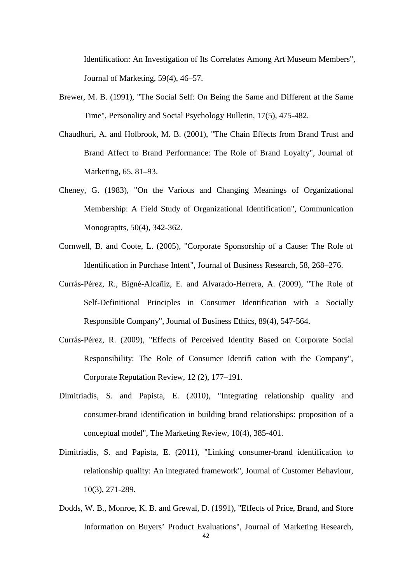Identification: An Investigation of Its Correlates Among Art Museum Members", Journal of Marketing, 59(4), 46–57.

- Brewer, M. B. (1991), "The Social Self: On Being the Same and Different at the Same Time", Personality and Social Psychology Bulletin, 17(5), 475-482.
- Chaudhuri, A. and Holbrook, M. B. (2001), "The Chain Effects from Brand Trust and Brand Affect to Brand Performance: The Role of Brand Loyalty", Journal of Marketing, 65, 81–93.
- Cheney, G. (1983), "On the Various and Changing Meanings of Organizational Membership: A Field Study of Organizational Identification", Communication Monograptts, 50(4), 342-362.
- Cornwell, B. and Coote, L. (2005), "Corporate Sponsorship of a Cause: The Role of Identification in Purchase Intent", Journal of Business Research, 58, 268–276.
- Currás-Pérez, R., Bigné-Alcañiz, E. and Alvarado-Herrera, A. (2009), "The Role of Self-Definitional Principles in Consumer Identification with a Socially Responsible Company", Journal of Business Ethics, 89(4), 547-564.
- Currás-Pérez, R. (2009), "Effects of Perceived Identity Based on Corporate Social Responsibility: The Role of Consumer Identifi cation with the Company", Corporate Reputation Review, 12 (2), 177–191.
- Dimitriadis, S. and Papista, E. (2010), "Integrating relationship quality and consumer-brand identification in building brand relationships: proposition of a conceptual model", The Marketing Review, 10(4), 385-401.
- Dimitriadis, S. and Papista, E. (2011), "Linking consumer-brand identification to relationship quality: An integrated framework", Journal of Customer Behaviour, 10(3), 271-289.
- Dodds, W. B., Monroe, K. B. and Grewal, D. (1991), "Effects of Price, Brand, and Store Information on Buyers' Product Evaluations", Journal of Marketing Research,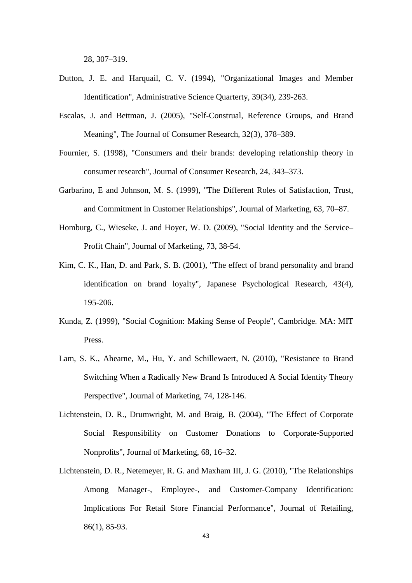28, 307–319.

- Dutton, J. E. and Harquail, C. V. (1994), "Organizational Images and Member Identification", Administrative Science Quarterty, 39(34), 239-263.
- Escalas, J. and Bettman, J. (2005), "Self-Construal, Reference Groups, and Brand Meaning", The Journal of Consumer Research, 32(3), 378–389.
- Fournier, S. (1998), "Consumers and their brands: developing relationship theory in consumer research", Journal of Consumer Research, 24, 343–373.
- Garbarino, E and Johnson, M. S. (1999), "The Different Roles of Satisfaction, Trust, and Commitment in Customer Relationships", Journal of Marketing, 63, 70–87.
- Homburg, C., Wieseke, J. and Hoyer, W. D. (2009), "Social Identity and the Service– Profit Chain", Journal of Marketing, 73, 38-54.
- Kim, C. K., Han, D. and Park, S. B. (2001), "The effect of brand personality and brand identification on brand loyalty", Japanese Psychological Research, 43(4), 195-206.
- Kunda, Z. (1999), "Social Cognition: Making Sense of People", Cambridge. MA: MIT Press.
- Lam, S. K., Ahearne, M., Hu, Y. and Schillewaert, N. (2010), "Resistance to Brand Switching When a Radically New Brand Is Introduced A Social Identity Theory Perspective", Journal of Marketing, 74, 128-146.
- Lichtenstein, D. R., Drumwright, M. and Braig, B. (2004), "The Effect of Corporate Social Responsibility on Customer Donations to Corporate-Supported Nonprofits", Journal of Marketing, 68, 16–32.
- Lichtenstein, D. R., Netemeyer, R. G. and Maxham III, J. G. (2010), "The Relationships Among Manager-, Employee-, and Customer-Company Identification: Implications For Retail Store Financial Performance", Journal of Retailing, 86(1), 85-93.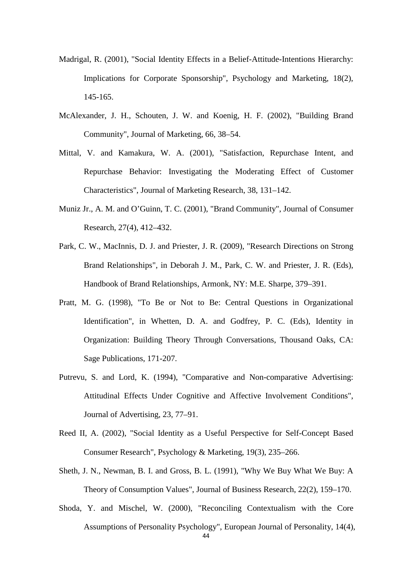- Madrigal, R. (2001), "Social Identity Effects in a Belief-Attitude-Intentions Hierarchy: Implications for Corporate Sponsorship", Psychology and Marketing, 18(2), 145-165.
- McAlexander, J. H., Schouten, J. W. and Koenig, H. F. (2002), "Building Brand Community", Journal of Marketing, 66, 38–54.
- Mittal, V. and Kamakura, W. A. (2001), "Satisfaction, Repurchase Intent, and Repurchase Behavior: Investigating the Moderating Effect of Customer Characteristics", Journal of Marketing Research, 38, 131–142.
- Muniz Jr., A. M. and O'Guinn, T. C. (2001), "Brand Community", Journal of Consumer Research, 27(4), 412–432.
- Park, C. W., MacInnis, D. J. and Priester, J. R. (2009), "Research Directions on Strong Brand Relationships", in Deborah J. M., Park, C. W. and Priester, J. R. (Eds), Handbook of Brand Relationships, Armonk, NY: M.E. Sharpe, 379–391.
- Pratt, M. G. (1998), "To Be or Not to Be: Central Questions in Organizational Identification", in Whetten, D. A. and Godfrey, P. C. (Eds), Identity in Organization: Building Theory Through Conversations, Thousand Oaks, CA: Sage Publications, 171-207.
- Putrevu, S. and Lord, K. (1994), "Comparative and Non-comparative Advertising: Attitudinal Effects Under Cognitive and Affective Involvement Conditions", Journal of Advertising, 23, 77–91.
- Reed II, A. (2002), "Social Identity as a Useful Perspective for Self-Concept Based Consumer Research", Psychology & Marketing, 19(3), 235–266.
- Sheth, J. N., Newman, B. I. and Gross, B. L. (1991), "Why We Buy What We Buy: A Theory of Consumption Values", Journal of Business Research, 22(2), 159–170.
- Shoda, Y. and Mischel, W. (2000), "Reconciling Contextualism with the Core Assumptions of Personality Psychology", European Journal of Personality, 14(4),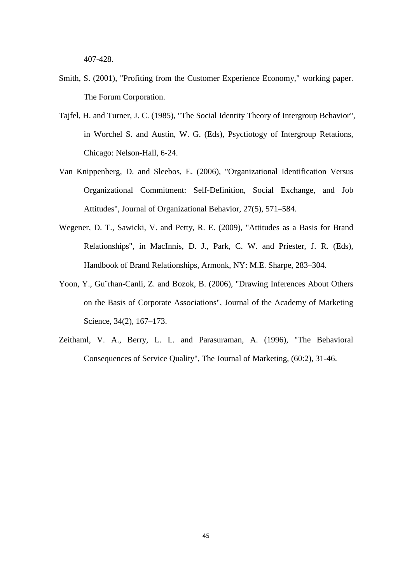407-428.

- Smith, S. (2001), "Profiting from the Customer Experience Economy," working paper. The Forum Corporation.
- Tajfel, H. and Turner, J. C. (1985), "The Social Identity Theory of Intergroup Behavior", in Worchel S. and Austin, W. G. (Eds), Psyctiotogy of Intergroup Retations, Chicago: Nelson-Hall, 6-24.
- Van Knippenberg, D. and Sleebos, E. (2006), "Organizational Identification Versus Organizational Commitment: Self-Definition, Social Exchange, and Job Attitudes", Journal of Organizational Behavior, 27(5), 571–584.
- Wegener, D. T., Sawicki, V. and Petty, R. E. (2009), "Attitudes as a Basis for Brand Relationships", in MacInnis, D. J., Park, C. W. and Priester, J. R. (Eds), Handbook of Brand Relationships, Armonk, NY: M.E. Sharpe, 283–304.
- Yoon, Y., Gu¨rhan-Canli, Z. and Bozok, B. (2006), "Drawing Inferences About Others on the Basis of Corporate Associations", Journal of the Academy of Marketing Science, 34(2), 167–173.
- Zeithaml, V. A., Berry, L. L. and Parasuraman, A. (1996), "The Behavioral Consequences of Service Quality", The Journal of Marketing, (60:2), 31-46.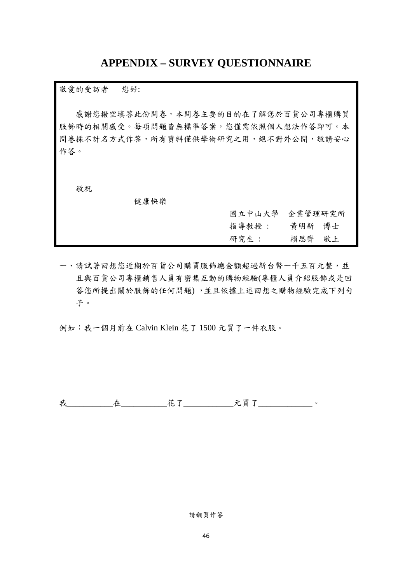## **APPENDIX – SURVEY QUESTIONNAIRE**

敬愛的受訪者 您好:

 感謝您撥空填答此份問卷,本問卷主要的目的在了解您於百貨公司專櫃購買 服飾時的相關感受。每項問題皆無標準答案,您僅需依照個人想法作答即可。本 問卷採不計名方式作答,所有資料僅供學術研究之用,絕不對外公開,敬請安心 作答。

敬祝

| 健康快樂 |       |                |
|------|-------|----------------|
|      |       | 國立中山大學 企業管理研究所 |
|      | 指導教授: | 黃明新<br>博士      |
|      | 研究生:  | 賴思齊<br>敬上      |

一、請試著回想您近期於百貨公司購買服飾總金額超過新台幣一千五百元整,並 且與百貨公司專櫃銷售人員有密集互動的購物經驗(專櫃人員介紹服飾或是回 答您所提出關於服飾的任何問題) ,並且依據上述回想之購物經驗完成下列句 子。

例如:我一個月前在 Calvin Klein 花了 1500 元買了一件衣服。

我\_\_\_\_\_\_\_\_\_\_\_在\_\_\_\_\_\_\_\_\_\_\_花了\_\_\_\_\_\_\_\_\_\_\_\_元買了\_\_\_\_\_\_\_\_\_\_\_\_\_。

請翻頁作答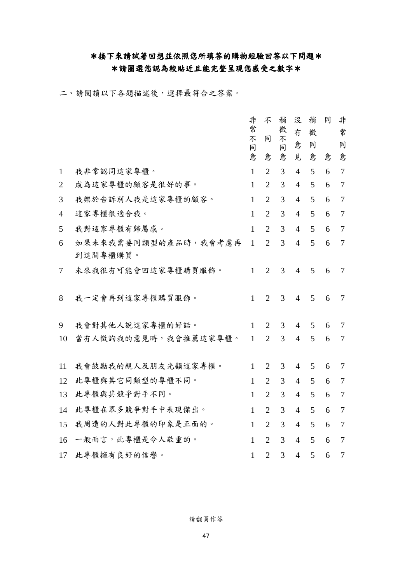## \*接下來請試著回想並依照您所填答的購物經驗回答以下問題\* \*請圈選您認為較貼近且能完整呈現您感受之數字\*

二、請閱讀以下各題描述後,選擇最符合之答案。

|                |                                  | 非<br>常<br>不  | 不<br>同         | 稍<br>微<br>不    | 沒<br>有         | 稍<br>微         | 同 | 非<br>常         |
|----------------|----------------------------------|--------------|----------------|----------------|----------------|----------------|---|----------------|
|                |                                  | 同<br>意       | 意              | 同<br>意         | 意<br>見         | 同<br>意         | 意 | 同<br>意         |
| $\mathbf{1}$   | 我非常認同這家專櫃。                       | $\mathbf{1}$ | $\overline{2}$ | 3              | $\overline{4}$ | 5              | 6 | 7              |
| $\overline{2}$ | 成為這家專櫃的顧客是很好的事。                  | $\mathbf{1}$ | $\overline{2}$ | 3              | $\overline{4}$ | 5              | 6 | $\overline{7}$ |
| 3              | 我樂於告訴別人我是這家專櫃的顧客。                | $\mathbf{1}$ | $\overline{2}$ | 3              | $\overline{4}$ | 5              | 6 | 7              |
| $\overline{4}$ | 這家專櫃很適合我。                        | $\mathbf{1}$ | $\overline{2}$ | 3              | $\overline{4}$ | 5              | 6 | 7              |
| 5              | 我對這家專櫃有歸屬感。                      | $\mathbf{1}$ | $\overline{2}$ | 3              | $\overline{4}$ | 5              | 6 | 7              |
| 6              | 如果未來我需要同類型的產品時,我會考慮再<br>到這間專櫃購買。 | $\mathbf{1}$ | $\overline{2}$ | 3              | $\overline{4}$ | 5              | 6 | 7              |
| 7              | 未來我很有可能會回這家專櫃購買服飾。               | $\mathbf{1}$ | $\overline{2}$ | 3              | $\overline{4}$ | 5              | 6 | 7              |
| 8              | 我一定會再到這家專櫃購買服飾。                  | $\mathbf{1}$ | $\overline{2}$ | 3              | $\overline{4}$ | 5              | 6 | 7              |
| 9              | 我會對其他人說這家專櫃的好話。                  | $\mathbf{1}$ | $\overline{2}$ | 3              | $\overline{4}$ | 5              | 6 | $\tau$         |
| 10             | 當有人徵詢我的意見時,我會推薦這家專櫃。             | $\mathbf{1}$ | $\overline{2}$ | $\overline{3}$ | $\overline{4}$ | $\overline{5}$ | 6 | $\overline{7}$ |
| 11             | 我會鼓勵我的親人及朋友光顧這家專櫃。               | $\mathbf{1}$ | $\overline{2}$ | 3              | $\overline{4}$ | 5              | 6 | 7              |
| 12             | 此專櫃與其它同類型的專櫃不同。                  | $\mathbf{1}$ | $\overline{2}$ | 3              | $\overline{4}$ | 5              | 6 | 7              |
| 13             | 此專櫃與其競爭對手不同。                     | $\mathbf{1}$ | $\overline{2}$ | 3              | $\overline{4}$ | 5              | 6 | 7              |
| 14             | 此專櫃在眾多競爭對手中表現傑出。                 | $\mathbf{1}$ | $\overline{2}$ | 3              | $\overline{4}$ | 5              | 6 | 7              |
| 15             | 我周遭的人對此專櫃的印象是正面的。                | $\mathbf{1}$ | $\overline{2}$ | 3              | $\overline{4}$ | 5              | 6 | $\overline{7}$ |
| 16             | 一般而言,此專櫃是令人敬重的。                  | $\mathbf{1}$ | $\overline{2}$ | 3              | $\overline{4}$ | 5              | 6 | 7              |
| 17             | 此專櫃擁有良好的信譽。                      | $\mathbf{1}$ | $\overline{2}$ | 3              | $\overline{4}$ | 5              | 6 | 7              |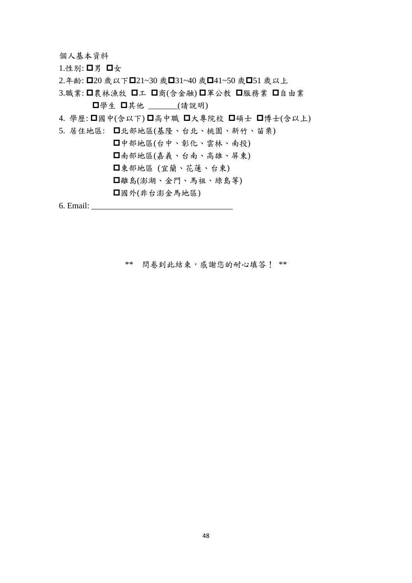個人基本資料

 $1.$ 性別: ロ男 ロ女

- 2.年齡: □20 歲以下□21~30 歲□31~40 歲□41~50 歲□51 歲以上
- 3.職業:口農林漁牧 □工 □商(含金融)□軍公教 □服務業 □自由業

□學生 □其他 \_\_\_(請說明)

- 4. 學歷:□國中(含以下)□高中職 □大專院校 □碩士 □博士(含以上)
- 5. 居住地區: □北部地區(基隆、台北、桃園、新竹、苗栗)
- □中部地區(台中、彰化、雲林、南投)
- □南部地區(嘉義、台南、高雄、屏東)
- □東部地區 (宜蘭、花蓮、台東)
- □離島(澎湖、金門、馬祖、綠島等)

■國外(非台澎金馬地區)

6. Email: \_\_\_\_\_\_\_\_\_\_\_\_\_\_\_\_\_\_\_\_\_\_\_\_\_\_\_\_\_\_\_\_\_\_

\*\* 問卷到此結束,感謝您的耐心填答! \*\*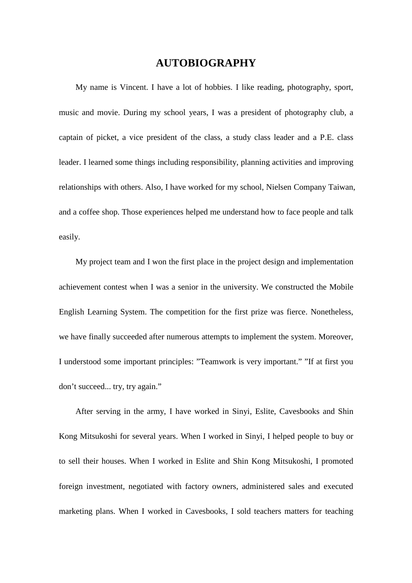## **AUTOBIOGRAPHY**

My name is Vincent. I have a lot of hobbies. I like reading, photography, sport, music and movie. During my school years, I was a president of photography club, a captain of picket, a vice president of the class, a study class leader and a P.E. class leader. I learned some things including responsibility, planning activities and improving relationships with others. Also, I have worked for my school, Nielsen Company Taiwan, and a coffee shop. Those experiences helped me understand how to face people and talk easily.

My project team and I won the first place in the project design and implementation achievement contest when I was a senior in the university. We constructed the Mobile English Learning System. The competition for the first prize was fierce. Nonetheless, we have finally succeeded after numerous attempts to implement the system. Moreover, I understood some important principles: "Teamwork is very important." "If at first you don't succeed... try, try again."

After serving in the army, I have worked in Sinyi, Eslite, Cavesbooks and Shin Kong Mitsukoshi for several years. When I worked in Sinyi, I helped people to buy or to sell their houses. When I worked in Eslite and Shin Kong Mitsukoshi, I promoted foreign investment, negotiated with factory owners, administered sales and executed marketing plans. When I worked in Cavesbooks, I sold teachers matters for teaching